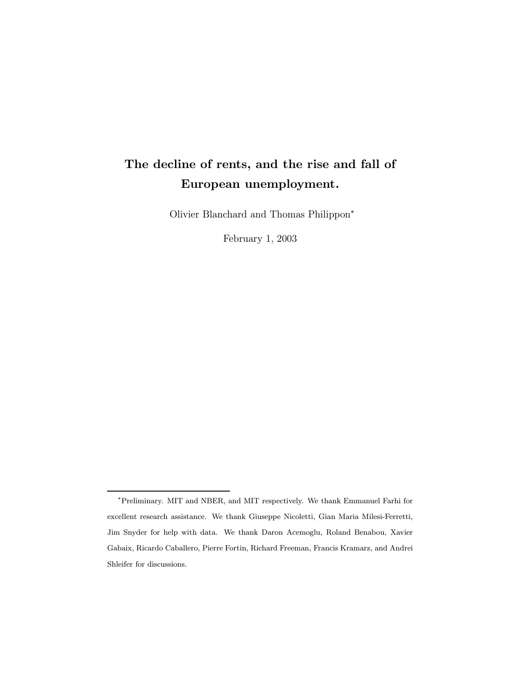# The decline of rents, and the rise and fall of European unemployment.

Olivier Blanchard and Thomas Philippon\*

February 1, 2003

<sup>¤</sup>Preliminary. MIT and NBER, and MIT respectively. We thank Emmanuel Farhi for excellent research assistance. We thank Giuseppe Nicoletti, Gian Maria Milesi-Ferretti, Jim Snyder for help with data. We thank Daron Acemoglu, Roland Benabou, Xavier Gabaix, Ricardo Caballero, Pierre Fortin, Richard Freeman, Francis Kramarz, and Andrei Shleifer for discussions.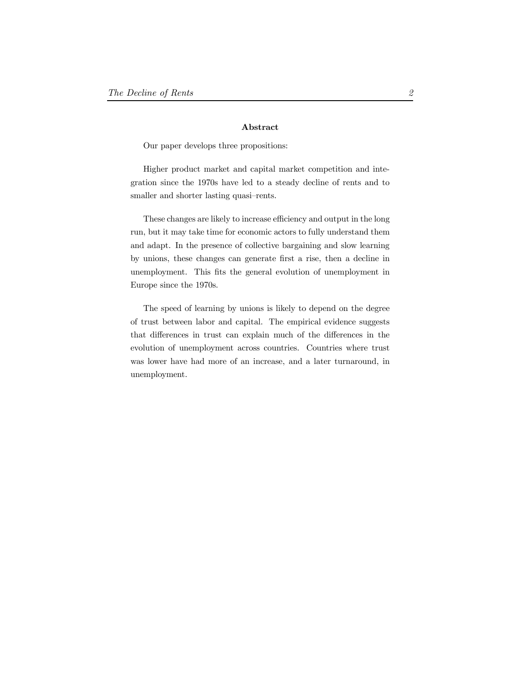#### Abstract

Our paper develops three propositions:

Higher product market and capital market competition and integration since the 1970s have led to a steady decline of rents and to smaller and shorter lasting quasi-rents.

These changes are likely to increase efficiency and output in the long run, but it may take time for economic actors to fully understand them and adapt. In the presence of collective bargaining and slow learning by unions, these changes can generate first a rise, then a decline in unemployment. This fits the general evolution of unemployment in Europe since the 1970s.

The speed of learning by unions is likely to depend on the degree of trust between labor and capital. The empirical evidence suggests that differences in trust can explain much of the differences in the evolution of unemployment across countries. Countries where trust was lower have had more of an increase, and a later turnaround, in unemployment.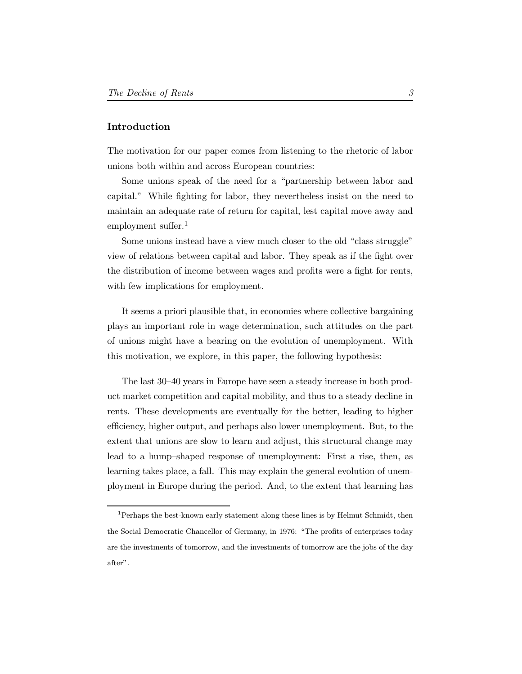## Introduction

The motivation for our paper comes from listening to the rhetoric of labor unions both within and across European countries:

Some unions speak of the need for a "partnership between labor and capital." While fighting for labor, they nevertheless insist on the need to maintain an adequate rate of return for capital, lest capital move away and employment suffer. $<sup>1</sup>$ </sup>

Some unions instead have a view much closer to the old "class struggle" view of relations between capital and labor. They speak as if the fight over the distribution of income between wages and profits were a fight for rents, with few implications for employment.

It seems a priori plausible that, in economies where collective bargaining plays an important role in wage determination, such attitudes on the part of unions might have a bearing on the evolution of unemployment. With this motivation, we explore, in this paper, the following hypothesis:

The last 30–40 years in Europe have seen a steady increase in both product market competition and capital mobility, and thus to a steady decline in rents. These developments are eventually for the better, leading to higher efficiency, higher output, and perhaps also lower unemployment. But, to the extent that unions are slow to learn and adjust, this structural change may lead to a hump-shaped response of unemployment: First a rise, then, as learning takes place, a fall. This may explain the general evolution of unemployment in Europe during the period. And, to the extent that learning has

 $^1\!$  Perhaps the best-known early statement along these lines is by Helmut Schmidt, then the Social Democratic Chancellor of Germany, in 1976: "The profits of enterprises today are the investments of tomorrow, and the investments of tomorrow are the jobs of the day after".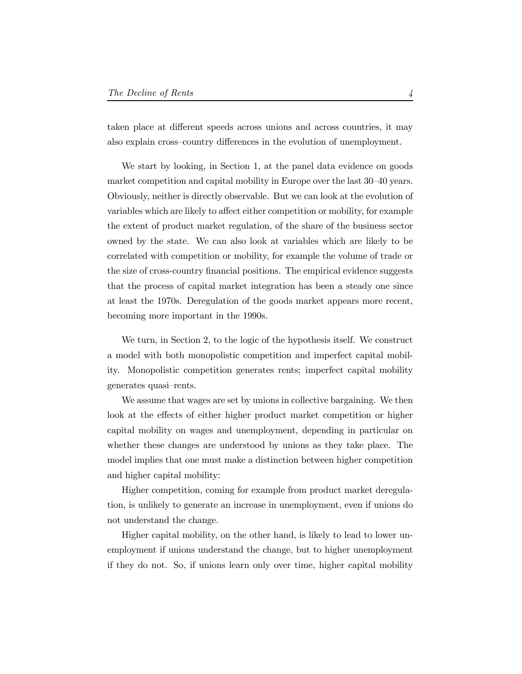taken place at different speeds across unions and across countries, it may also explain cross-country differences in the evolution of unemployment.

We start by looking, in Section 1, at the panel data evidence on goods market competition and capital mobility in Europe over the last 30–40 years. Obviously, neither is directly observable. But we can look at the evolution of variables which are likely to affect either competition or mobility, for example the extent of product market regulation, of the share of the business sector owned by the state. We can also look at variables which are likely to be correlated with competition or mobility, for example the volume of trade or the size of cross-country financial positions. The empirical evidence suggests that the process of capital market integration has been a steady one since at least the 1970s. Deregulation of the goods market appears more recent, becoming more important in the 1990s.

We turn, in Section 2, to the logic of the hypothesis itself. We construct a model with both monopolistic competition and imperfect capital mobility. Monopolistic competition generates rents; imperfect capital mobility generates quasi-rents.

We assume that wages are set by unions in collective bargaining. We then look at the effects of either higher product market competition or higher capital mobility on wages and unemployment, depending in particular on whether these changes are understood by unions as they take place. The model implies that one must make a distinction between higher competition and higher capital mobility:

Higher competition, coming for example from product market deregulation, is unlikely to generate an increase in unemployment, even if unions do not understand the change.

Higher capital mobility, on the other hand, is likely to lead to lower unemployment if unions understand the change, but to higher unemployment if they do not. So, if unions learn only over time, higher capital mobility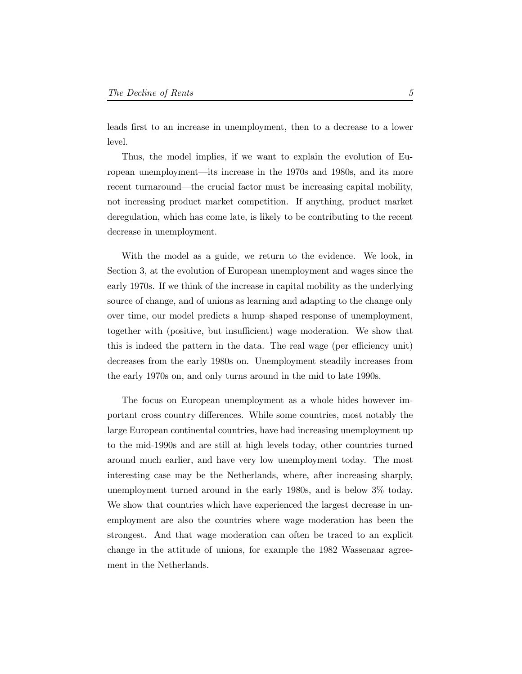leads first to an increase in unemployment, then to a decrease to a lower level.

Thus, the model implies, if we want to explain the evolution of European unemployment—its increase in the 1970s and 1980s, and its more recent turnaround—the crucial factor must be increasing capital mobility, not increasing product market competition. If anything, product market deregulation, which has come late, is likely to be contributing to the recent decrease in unemployment.

With the model as a guide, we return to the evidence. We look, in Section 3, at the evolution of European unemployment and wages since the early 1970s. If we think of the increase in capital mobility as the underlying source of change, and of unions as learning and adapting to the change only over time, our model predicts a hump-shaped response of unemployment, together with (positive, but insufficient) wage moderation. We show that this is indeed the pattern in the data. The real wage (per efficiency unit) decreases from the early 1980s on. Unemployment steadily increases from the early 1970s on, and only turns around in the mid to late 1990s.

The focus on European unemployment as a whole hides however important cross country differences. While some countries, most notably the large European continental countries, have had increasing unemployment up to the mid-1990s and are still at high levels today, other countries turned around much earlier, and have very low unemployment today. The most interesting case may be the Netherlands, where, after increasing sharply, unemployment turned around in the early 1980s, and is below 3% today. We show that countries which have experienced the largest decrease in unemployment are also the countries where wage moderation has been the strongest. And that wage moderation can often be traced to an explicit change in the attitude of unions, for example the 1982 Wassenaar agreement in the Netherlands.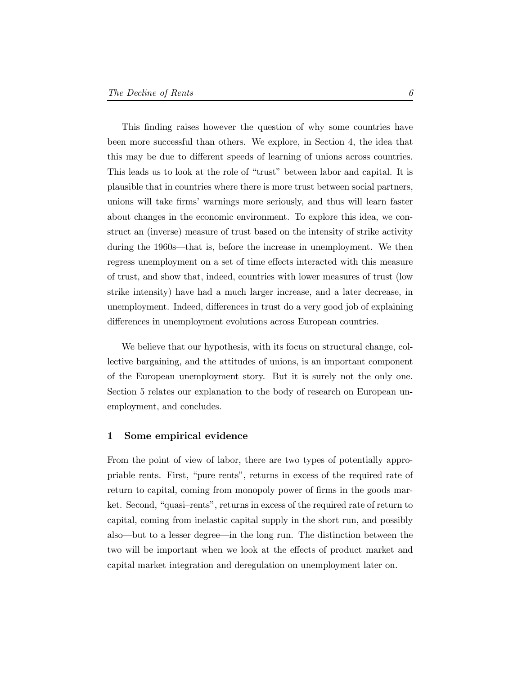This finding raises however the question of why some countries have been more successful than others. We explore, in Section 4, the idea that this may be due to different speeds of learning of unions across countries. This leads us to look at the role of "trust" between labor and capital. It is plausible that in countries where there is more trust between social partners, unions will take firms' warnings more seriously, and thus will learn faster about changes in the economic environment. To explore this idea, we construct an (inverse) measure of trust based on the intensity of strike activity during the 1960s—that is, before the increase in unemployment. We then regress unemployment on a set of time effects interacted with this measure of trust, and show that, indeed, countries with lower measures of trust (low strike intensity) have had a much larger increase, and a later decrease, in unemployment. Indeed, differences in trust do a very good job of explaining differences in unemployment evolutions across European countries.

We believe that our hypothesis, with its focus on structural change, collective bargaining, and the attitudes of unions, is an important component of the European unemployment story. But it is surely not the only one. Section 5 relates our explanation to the body of research on European unemployment, and concludes.

#### 1 Some empirical evidence

From the point of view of labor, there are two types of potentially appropriable rents. First, \pure rents", returns in excess of the required rate of return to capital, coming from monopoly power of firms in the goods market. Second, "quasi-rents", returns in excess of the required rate of return to capital, coming from inelastic capital supply in the short run, and possibly also—but to a lesser degree—in the long run. The distinction between the two will be important when we look at the effects of product market and capital market integration and deregulation on unemployment later on.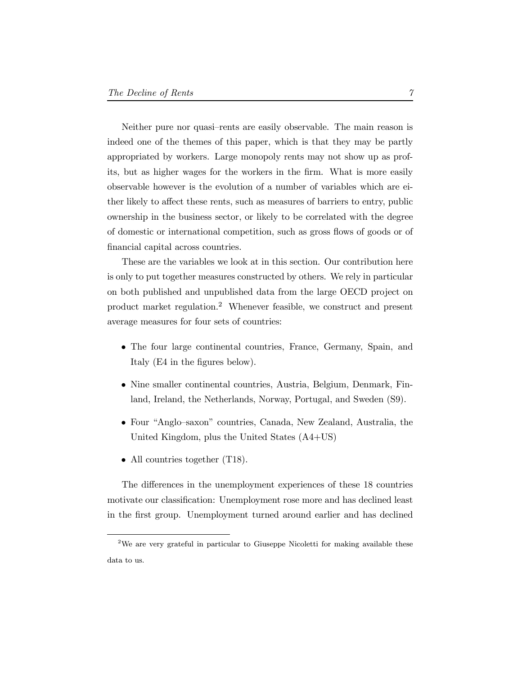Neither pure nor quasi-rents are easily observable. The main reason is indeed one of the themes of this paper, which is that they may be partly appropriated by workers. Large monopoly rents may not show up as profits, but as higher wages for the workers in the firm. What is more easily observable however is the evolution of a number of variables which are either likely to affect these rents, such as measures of barriers to entry, public ownership in the business sector, or likely to be correlated with the degree of domestic or international competition, such as gross flows of goods or of financial capital across countries.

These are the variables we look at in this section. Our contribution here is only to put together measures constructed by others. We rely in particular on both published and unpublished data from the large OECD project on product market regulation.<sup>2</sup> Whenever feasible, we construct and present average measures for four sets of countries:

- The four large continental countries, France, Germany, Spain, and Italy (E4 in the figures below).
- Nine smaller continental countries, Austria, Belgium, Denmark, Finland, Ireland, the Netherlands, Norway, Portugal, and Sweden (S9).
- Four "Anglo-saxon" countries, Canada, New Zealand, Australia, the United Kingdom, plus the United States (A4+US)
- All countries together (T18).

The differences in the unemployment experiences of these 18 countries motivate our classification: Unemployment rose more and has declined least in the first group. Unemployment turned around earlier and has declined

<sup>&</sup>lt;sup>2</sup>We are very grateful in particular to Giuseppe Nicoletti for making available these data to us.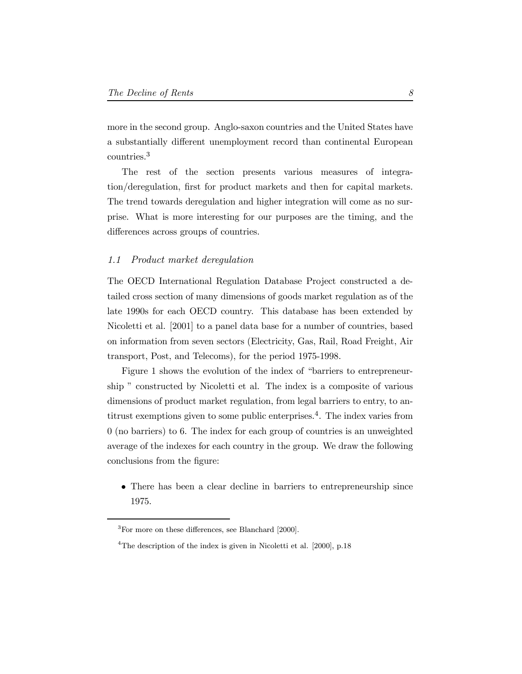more in the second group. Anglo-saxon countries and the United States have a substantially different unemployment record than continental European countries.<sup>3</sup>

The rest of the section presents various measures of integration/deregulation, first for product markets and then for capital markets. The trend towards deregulation and higher integration will come as no surprise. What is more interesting for our purposes are the timing, and the differences across groups of countries.

## 1.1 Product market deregulation

The OECD International Regulation Database Project constructed a detailed cross section of many dimensions of goods market regulation as of the late 1990s for each OECD country. This database has been extended by Nicoletti et al. [2001] to a panel data base for a number of countries, based on information from seven sectors (Electricity, Gas, Rail, Road Freight, Air transport, Post, and Telecoms), for the period 1975-1998.

Figure 1 shows the evolution of the index of "barriers to entrepreneurship " constructed by Nicoletti et al. The index is a composite of various dimensions of product market regulation, from legal barriers to entry, to antitrust exemptions given to some public enterprises.4. The index varies from 0 (no barriers) to 6. The index for each group of countries is an unweighted average of the indexes for each country in the group. We draw the following conclusions from the figure:

• There has been a clear decline in barriers to entrepreneurship since 1975.

 ${}^{3}$ For more on these differences, see Blanchard [2000].

<sup>&</sup>lt;sup>4</sup>The description of the index is given in Nicoletti et al.  $[2000]$ , p.18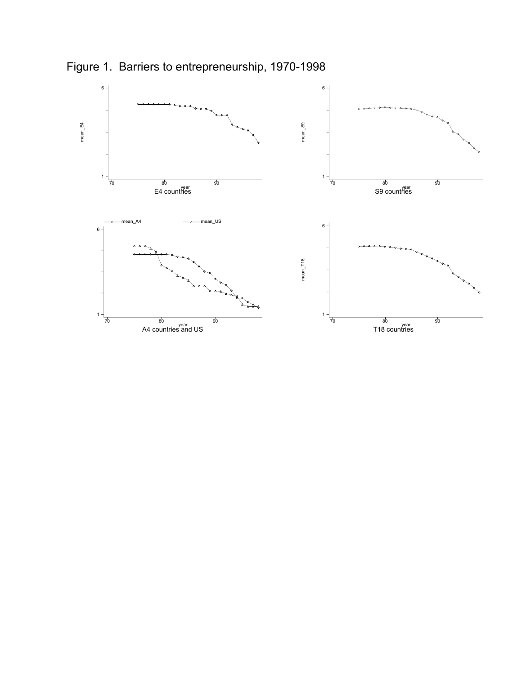

Figure 1. Barriers to entrepreneurship, 1970-1998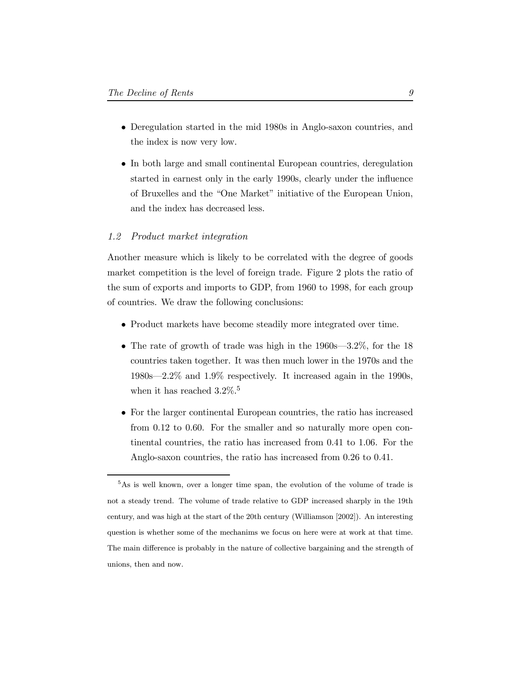- Deregulation started in the mid 1980s in Anglo-saxon countries, and the index is now very low.
- In both large and small continental European countries, deregulation started in earnest only in the early 1990s, clearly under the influence of Bruxelles and the "One Market" initiative of the European Union, and the index has decreased less.

## 1.2 Product market integration

Another measure which is likely to be correlated with the degree of goods market competition is the level of foreign trade. Figure 2 plots the ratio of the sum of exports and imports to GDP, from 1960 to 1998, for each group of countries. We draw the following conclusions:

- Product markets have become steadily more integrated over time.
- The rate of growth of trade was high in the  $1960s-3.2\%$ , for the 18 countries taken together. It was then much lower in the 1970s and the  $1980s-2.2\%$  and  $1.9\%$  respectively. It increased again in the 1990s, when it has reached  $3.2\%$ .<sup>5</sup>
- For the larger continental European countries, the ratio has increased from 0.12 to 0.60. For the smaller and so naturally more open continental countries, the ratio has increased from 0.41 to 1.06. For the Anglo-saxon countries, the ratio has increased from 0.26 to 0.41.

<sup>&</sup>lt;sup>5</sup>As is well known, over a longer time span, the evolution of the volume of trade is not a steady trend. The volume of trade relative to GDP increased sharply in the 19th century, and was high at the start of the 20th century (Williamson [2002]). An interesting question is whether some of the mechanims we focus on here were at work at that time. The main difference is probably in the nature of collective bargaining and the strength of unions, then and now.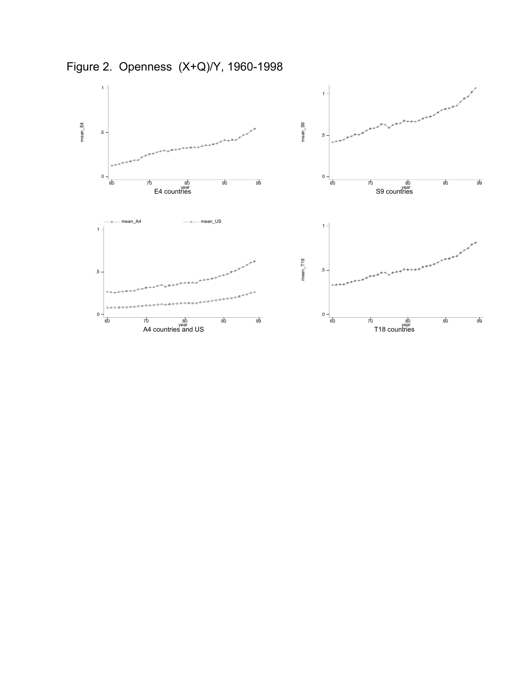

Figure 2. Openness (X+Q)/Y, 1960-1998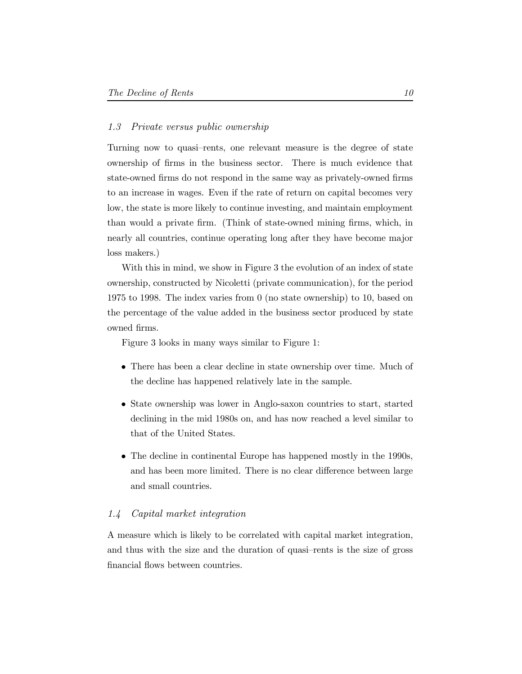## 1.3 Private versus public ownership

Turning now to quasi-rents, one relevant measure is the degree of state ownership of firms in the business sector. There is much evidence that state-owned firms do not respond in the same way as privately-owned firms to an increase in wages. Even if the rate of return on capital becomes very low, the state is more likely to continue investing, and maintain employment than would a private firm. (Think of state-owned mining firms, which, in nearly all countries, continue operating long after they have become major loss makers.)

With this in mind, we show in Figure 3 the evolution of an index of state ownership, constructed by Nicoletti (private communication), for the period 1975 to 1998. The index varies from 0 (no state ownership) to 10, based on the percentage of the value added in the business sector produced by state owned firms.

Figure 3 looks in many ways similar to Figure 1:

- There has been a clear decline in state ownership over time. Much of the decline has happened relatively late in the sample.
- State ownership was lower in Anglo-saxon countries to start, started declining in the mid 1980s on, and has now reached a level similar to that of the United States.
- The decline in continental Europe has happened mostly in the 1990s, and has been more limited. There is no clear difference between large and small countries.

## 1.4 Capital market integration

A measure which is likely to be correlated with capital market integration, and thus with the size and the duration of quasi-rents is the size of gross financial flows between countries.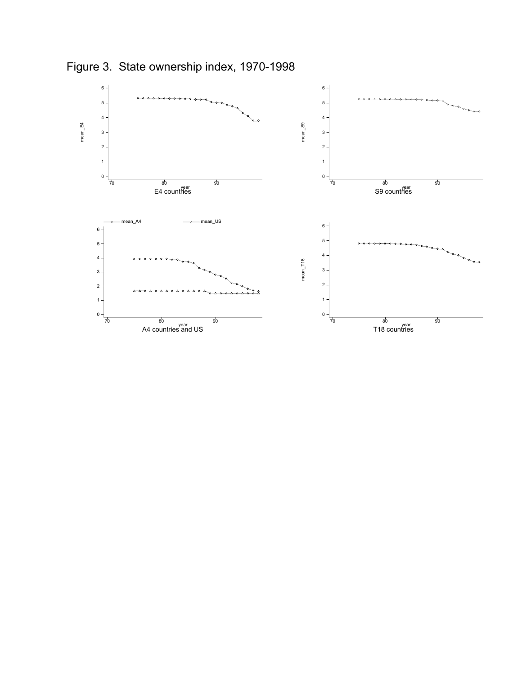

Figure 3. State ownership index, 1970-1998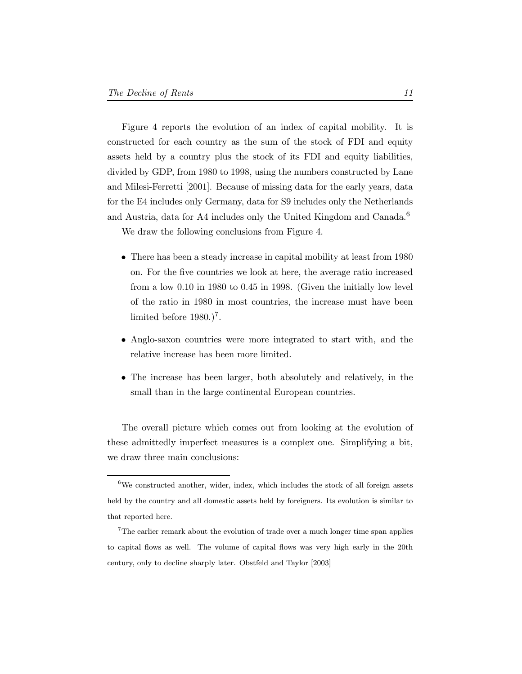Figure 4 reports the evolution of an index of capital mobility. It is constructed for each country as the sum of the stock of FDI and equity assets held by a country plus the stock of its FDI and equity liabilities, divided by GDP, from 1980 to 1998, using the numbers constructed by Lane and Milesi-Ferretti [2001]. Because of missing data for the early years, data for the E4 includes only Germany, data for S9 includes only the Netherlands and Austria, data for A4 includes only the United Kingdom and Canada.<sup>6</sup>

We draw the following conclusions from Figure 4.

- There has been a steady increase in capital mobility at least from 1980 on. For the five countries we look at here, the average ratio increased from a low 0.10 in 1980 to 0.45 in 1998. (Given the initially low level of the ratio in 1980 in most countries, the increase must have been limited before  $1980.<sup>7</sup>$ .
- Anglo-saxon countries were more integrated to start with, and the relative increase has been more limited.
- The increase has been larger, both absolutely and relatively, in the small than in the large continental European countries.

The overall picture which comes out from looking at the evolution of these admittedly imperfect measures is a complex one. Simplifying a bit, we draw three main conclusions:

 $6$ We constructed another, wider, index, which includes the stock of all foreign assets held by the country and all domestic assets held by foreigners. Its evolution is similar to that reported here.

<sup>&</sup>lt;sup>7</sup>The earlier remark about the evolution of trade over a much longer time span applies to capital flows as well. The volume of capital flows was very high early in the 20th century, only to decline sharply later. Obstfeld and Taylor [2003]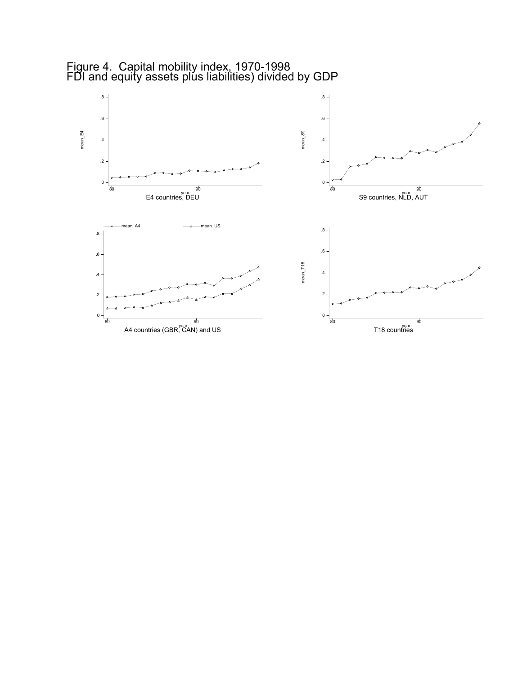

Figure 4. Capital mobility index, 1970-1998 FDI and equity assets plús liabilities) divided by GDP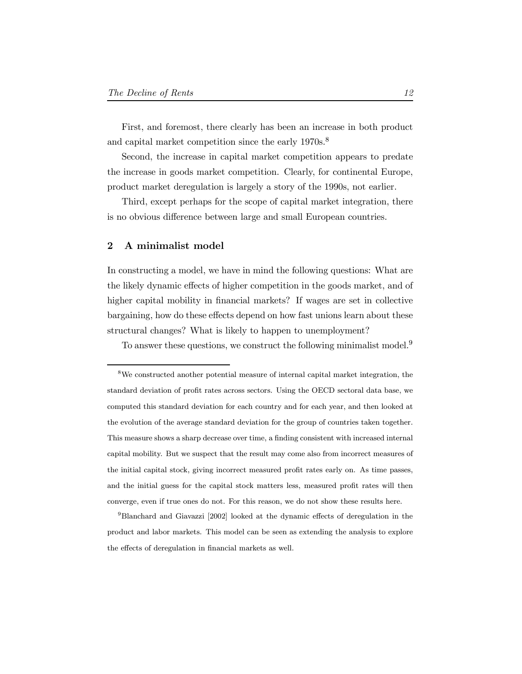First, and foremost, there clearly has been an increase in both product and capital market competition since the early 1970s.<sup>8</sup>

Second, the increase in capital market competition appears to predate the increase in goods market competition. Clearly, for continental Europe, product market deregulation is largely a story of the 1990s, not earlier.

Third, except perhaps for the scope of capital market integration, there is no obvious difference between large and small European countries.

#### 2 A minimalist model

In constructing a model, we have in mind the following questions: What are the likely dynamic effects of higher competition in the goods market, and of higher capital mobility in financial markets? If wages are set in collective bargaining, how do these effects depend on how fast unions learn about these structural changes? What is likely to happen to unemployment?

To answer these questions, we construct the following minimalist model.<sup>9</sup>

 $^{9}$ Blanchard and Giavazzi [2002] looked at the dynamic effects of deregulation in the product and labor markets. This model can be seen as extending the analysis to explore the effects of deregulation in financial markets as well.

<sup>8</sup>We constructed another potential measure of internal capital market integration, the standard deviation of profit rates across sectors. Using the OECD sectoral data base, we computed this standard deviation for each country and for each year, and then looked at the evolution of the average standard deviation for the group of countries taken together. This measure shows a sharp decrease over time, a finding consistent with increased internal capital mobility. But we suspect that the result may come also from incorrect measures of the initial capital stock, giving incorrect measured profit rates early on. As time passes, and the initial guess for the capital stock matters less, measured profit rates will then converge, even if true ones do not. For this reason, we do not show these results here.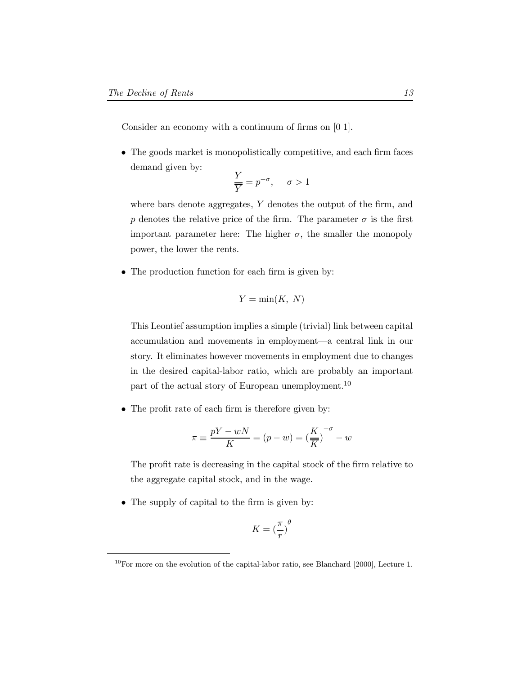Consider an economy with a continuum of firms on  $[0 1]$ .

 $\bullet$  The goods market is monopolistically competitive, and each firm faces demand given by:

$$
\frac{Y}{\overline{Y}} = p^{-\sigma}, \quad \sigma > 1
$$

where bars denote aggregates,  $Y$  denotes the output of the firm, and p denotes the relative price of the firm. The parameter  $\sigma$  is the first important parameter here: The higher  $\sigma$ , the smaller the monopoly power, the lower the rents.

 $\bullet$  The production function for each firm is given by:

$$
Y = \min(K, N)
$$

This Leontief assumption implies a simple (trivial) link between capital accumulation and movements in employment—a central link in our story. It eliminates however movements in employment due to changes in the desired capital-labor ratio, which are probably an important part of the actual story of European unemployment.<sup>10</sup>

 $\bullet$  The profit rate of each firm is therefore given by:

$$
\pi \equiv \frac{pY - wN}{K} = (p - w) = \left(\frac{K}{\overline{K}}\right)^{-\sigma} - w
$$

The profit rate is decreasing in the capital stock of the firm relative to the aggregate capital stock, and in the wage.

 $\bullet$  The supply of capital to the firm is given by:

$$
K = \left(\frac{\pi}{r}\right)^{\theta}
$$

 $10$ For more on the evolution of the capital-labor ratio, see Blanchard [2000], Lecture 1.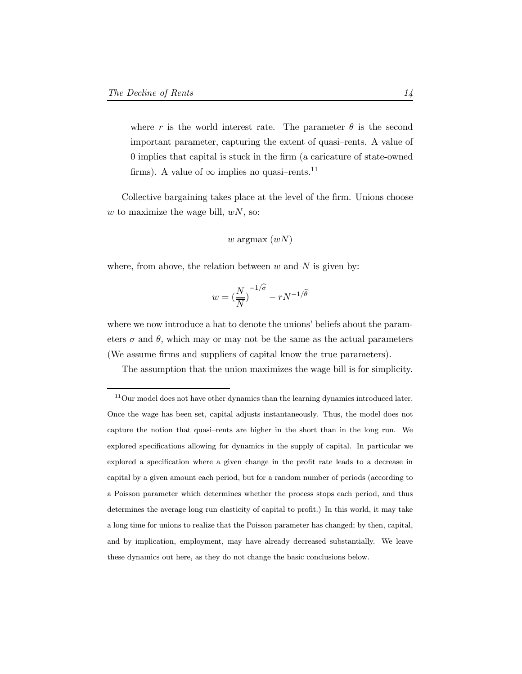where r is the world interest rate. The parameter  $\theta$  is the second important parameter, capturing the extent of quasi-rents. A value of 0 implies that capital is stuck in the firm (a caricature of state-owned firms). A value of  $\infty$  implies no quasi-rents.<sup>11</sup>

Collective bargaining takes place at the level of the firm. Unions choose  $w$  to maximize the wage bill,  $wN$ , so:

$$
w
$$
 argmax $(wN)$ 

where, from above, the relation between  $w$  and  $N$  is given by:

$$
w = \left(\frac{N}{\overline{N}}\right)^{-1/\widehat{\sigma}} - rN^{-1/\widehat{\theta}}
$$

where we now introduce a hat to denote the unions' beliefs about the parameters  $\sigma$  and  $\theta$ , which may or may not be the same as the actual parameters (We assume firms and suppliers of capital know the true parameters).

The assumption that the union maximizes the wage bill is for simplicity.

 $11$ Our model does not have other dynamics than the learning dynamics introduced later. Once the wage has been set, capital adjusts instantaneously. Thus, the model does not capture the notion that quasi-rents are higher in the short than in the long run. We explored specifications allowing for dynamics in the supply of capital. In particular we explored a specification where a given change in the profit rate leads to a decrease in capital by a given amount each period, but for a random number of periods (according to a Poisson parameter which determines whether the process stops each period, and thus determines the average long run elasticity of capital to profit.) In this world, it may take a long time for unions to realize that the Poisson parameter has changed; by then, capital, and by implication, employment, may have already decreased substantially. We leave these dynamics out here, as they do not change the basic conclusions below.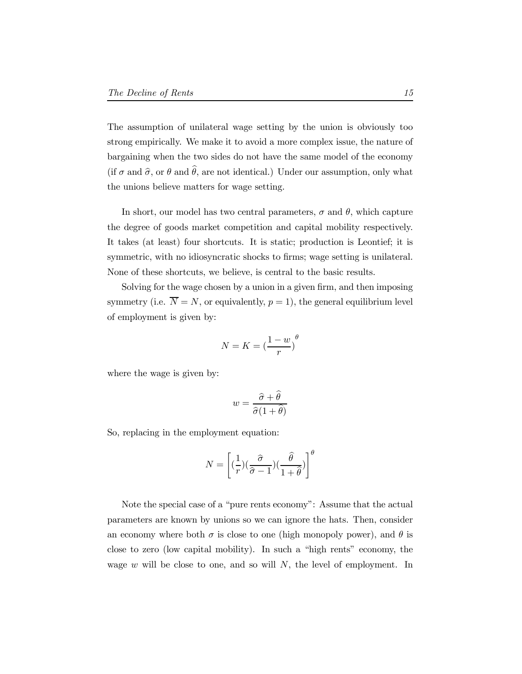The assumption of unilateral wage setting by the union is obviously too strong empirically. We make it to avoid a more complex issue, the nature of bargaining when the two sides do not have the same model of the economy (if  $\sigma$  and  $\hat{\sigma}$ , or  $\theta$  and  $\hat{\theta}$ , are not identical.) Under our assumption, only what the unions believe matters for wage setting.

In short, our model has two central parameters,  $\sigma$  and  $\theta$ , which capture the degree of goods market competition and capital mobility respectively. It takes (at least) four shortcuts. It is static; production is Leontief; it is symmetric, with no idiosyncratic shocks to firms; wage setting is unilateral. None of these shortcuts, we believe, is central to the basic results.

Solving for the wage chosen by a union in a given firm, and then imposing symmetry (i.e.  $\overline{N} = N$ , or equivalently,  $p = 1$ ), the general equilibrium level of employment is given by:

$$
N = K = \left(\frac{1 - w}{r}\right)^{\theta}
$$

where the wage is given by:

$$
w = \frac{\hat{\sigma} + \hat{\theta}}{\hat{\sigma}(1 + \hat{\theta})}
$$

So, replacing in the employment equation:

$$
N = \left[ \left( \frac{1}{r} \right) \left( \frac{\hat{\sigma}}{\hat{\sigma} - 1} \right) \left( \frac{\hat{\theta}}{1 + \hat{\theta}} \right) \right]^{\theta}
$$

Note the special case of a "pure rents economy": Assume that the actual parameters are known by unions so we can ignore the hats. Then, consider an economy where both  $\sigma$  is close to one (high monopoly power), and  $\theta$  is close to zero (low capital mobility). In such a \high rents" economy, the wage  $w$  will be close to one, and so will  $N$ , the level of employment. In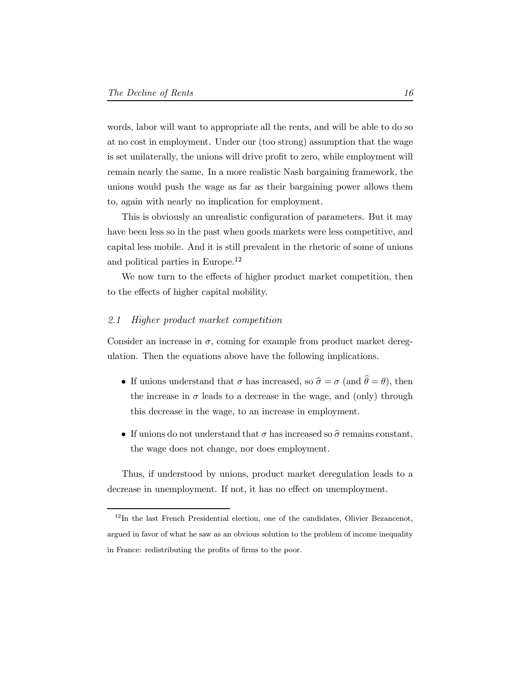words, labor will want to appropriate all the rents, and will be able to do so at no cost in employment. Under our (too strong) assumption that the wage is set unilaterally, the unions will drive profit to zero, while employment will remain nearly the same. In a more realistic Nash bargaining framework, the unions would push the wage as far as their bargaining power allows them to, again with nearly no implication for employment.

This is obviously an unrealistic configuration of parameters. But it may have been less so in the past when goods markets were less competitive, and capital less mobile. And it is still prevalent in the rhetoric of some of unions and political parties in Europe.<sup>12</sup>

We now turn to the effects of higher product market competition, then to the effects of higher capital mobility.

#### 2.1 Higher product market competition

Consider an increase in  $\sigma$ , coming for example from product market deregulation. Then the equations above have the following implications.

- If unions understand that  $\sigma$  has increased, so  $\hat{\sigma} = \sigma$  (and  $\hat{\theta} = \theta$ ), then the increase in  $\sigma$  leads to a decrease in the wage, and (only) through this decrease in the wage, to an increase in employment.
- If unions do not understand that  $\sigma$  has increased so  $\hat{\sigma}$  remains constant, the wage does not change, nor does employment.

Thus, if understood by unions, product market deregulation leads to a decrease in unemployment. If not, it has no effect on unemployment.

<sup>&</sup>lt;sup>12</sup>In the last French Presidential election, one of the candidates, Olivier Bezancenot, argued in favor of what he saw as an obvious solution to the problem of income inequality in France: redistributing the profits of firms to the poor.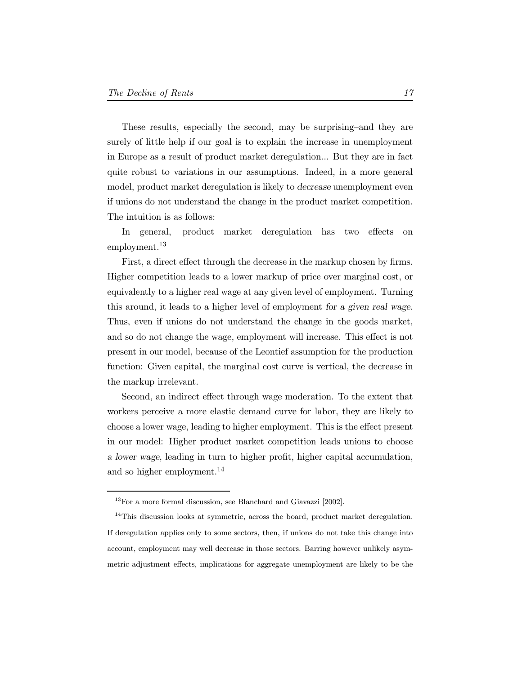These results, especially the second, may be surprising-and they are surely of little help if our goal is to explain the increase in unemployment in Europe as a result of product market deregulation... But they are in fact quite robust to variations in our assumptions. Indeed, in a more general model, product market deregulation is likely to decrease unemployment even if unions do not understand the change in the product market competition. The intuition is as follows:

In general, product market deregulation has two effects on employment.<sup>13</sup>

First, a direct effect through the decrease in the markup chosen by firms. Higher competition leads to a lower markup of price over marginal cost, or equivalently to a higher real wage at any given level of employment. Turning this around, it leads to a higher level of employment for a given real wage. Thus, even if unions do not understand the change in the goods market, and so do not change the wage, employment will increase. This effect is not present in our model, because of the Leontief assumption for the production function: Given capital, the marginal cost curve is vertical, the decrease in the markup irrelevant.

Second, an indirect effect through wage moderation. To the extent that workers perceive a more elastic demand curve for labor, they are likely to choose a lower wage, leading to higher employment. This is the effect present in our model: Higher product market competition leads unions to choose a lower wage, leading in turn to higher profit, higher capital accumulation, and so higher employment.<sup>14</sup>

<sup>13</sup>For a more formal discussion, see Blanchard and Giavazzi [2002].

 $14$ This discussion looks at symmetric, across the board, product market deregulation. If deregulation applies only to some sectors, then, if unions do not take this change into account, employment may well decrease in those sectors. Barring however unlikely asymmetric adjustment effects, implications for aggregate unemployment are likely to be the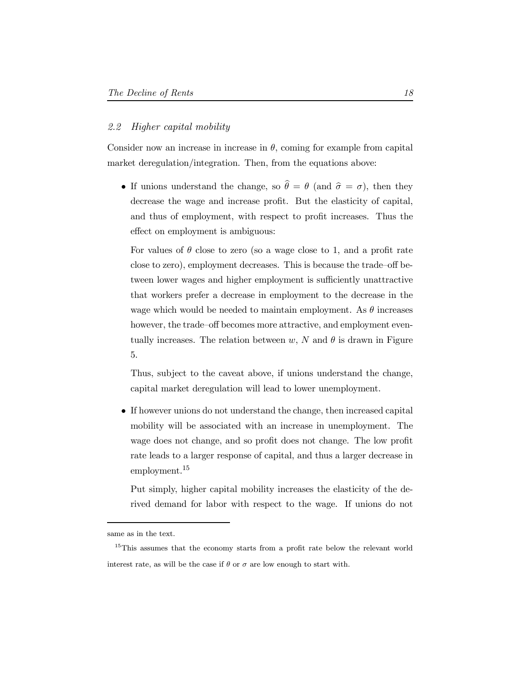### 2.2 Higher capital mobility

Consider now an increase in increase in  $\theta$ , coming for example from capital market deregulation/integration. Then, from the equations above:

• If unions understand the change, so  $\hat{\theta} = \theta$  (and  $\hat{\sigma} = \sigma$ ), then they decrease the wage and increase profit. But the elasticity of capital, and thus of employment, with respect to profit increases. Thus the effect on employment is ambiguous:

For values of  $\theta$  close to zero (so a wage close to 1, and a profit rate close to zero), employment decreases. This is because the trade-off between lower wages and higher employment is sufficiently unattractive that workers prefer a decrease in employment to the decrease in the wage which would be needed to maintain employment. As  $\theta$  increases however, the trade-off becomes more attractive, and employment eventually increases. The relation between  $w$ , N and  $\theta$  is drawn in Figure 5.

Thus, subject to the caveat above, if unions understand the change, capital market deregulation will lead to lower unemployment.

• If however unions do not understand the change, then increased capital mobility will be associated with an increase in unemployment. The wage does not change, and so profit does not change. The low profit rate leads to a larger response of capital, and thus a larger decrease in employment.<sup>15</sup>

Put simply, higher capital mobility increases the elasticity of the derived demand for labor with respect to the wage. If unions do not

same as in the text.

 $15$ This assumes that the economy starts from a profit rate below the relevant world interest rate, as will be the case if  $\theta$  or  $\sigma$  are low enough to start with.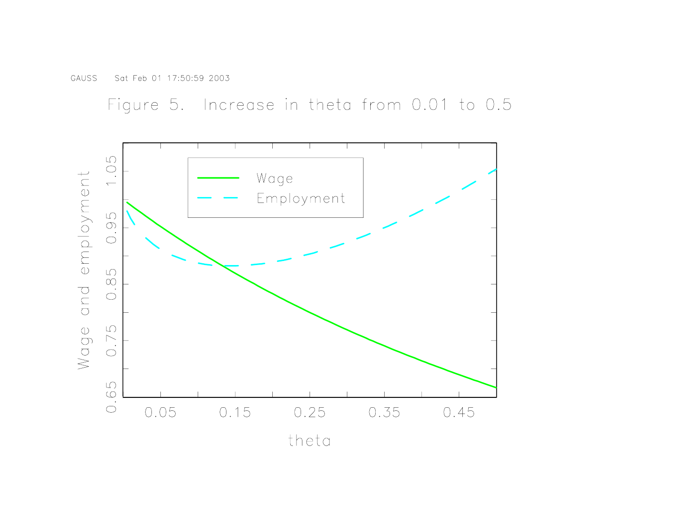Figure 5. Increase in theta from 0.01 to 0.5

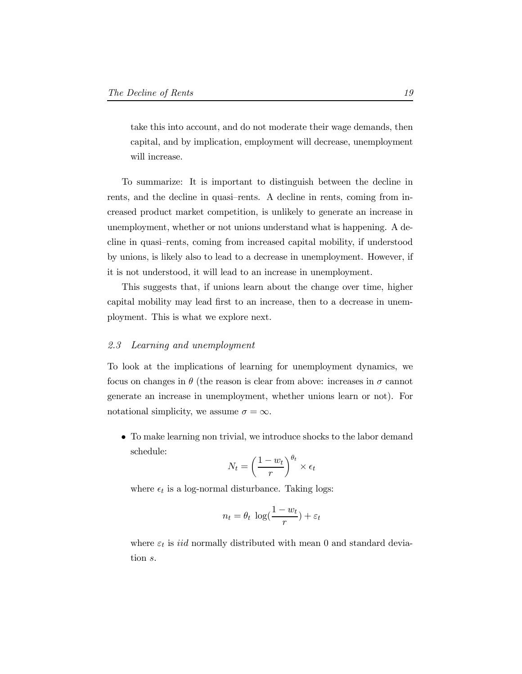take this into account, and do not moderate their wage demands, then capital, and by implication, employment will decrease, unemployment will increase.

To summarize: It is important to distinguish between the decline in rents, and the decline in quasi-rents. A decline in rents, coming from increased product market competition, is unlikely to generate an increase in unemployment, whether or not unions understand what is happening. A decline in quasi-rents, coming from increased capital mobility, if understood by unions, is likely also to lead to a decrease in unemployment. However, if it is not understood, it will lead to an increase in unemployment.

This suggests that, if unions learn about the change over time, higher capital mobility may lead first to an increase, then to a decrease in unemployment. This is what we explore next.

#### 2.3 Learning and unemployment

To look at the implications of learning for unemployment dynamics, we focus on changes in  $\theta$  (the reason is clear from above: increases in  $\sigma$  cannot generate an increase in unemployment, whether unions learn or not). For notational simplicity, we assume  $\sigma = \infty$ .

 $\bullet~$  To make learning non trivial, we introduce shocks to the labor demand schedule:

$$
N_t = \left(\frac{1 - w_t}{r}\right)^{\theta_t} \times \epsilon_t
$$

where  $\epsilon_t$  is a log-normal disturbance. Taking logs:

$$
n_t = \theta_t \, \log(\frac{1 - w_t}{r}) + \varepsilon_t
$$

where  $\varepsilon_t$  is *iid* normally distributed with mean 0 and standard deviation s.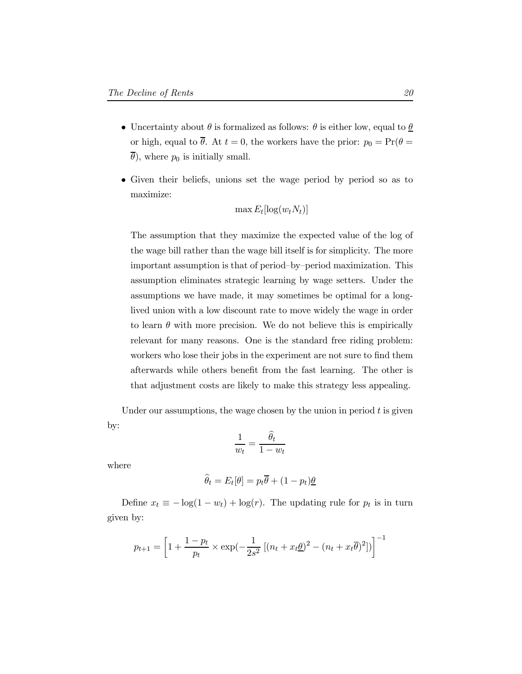- $\bullet\,$  Uncertainty about  $\theta$  is formalized as follows:  $\theta$  is either low, equal to  $\underline{\theta}$ or high, equal to  $\overline{\theta}$ . At  $t = 0$ , the workers have the prior:  $p_0 = \Pr(\theta =$  $\overline{\theta}$ ), where  $p_0$  is initially small.
- Given their beliefs, unions set the wage period by period so as to maximize:

$$
\max E_t[\log(w_t N_t)]
$$

The assumption that they maximize the expected value of the log of the wage bill rather than the wage bill itself is for simplicity. The more important assumption is that of period-by-period maximization. This assumption eliminates strategic learning by wage setters. Under the assumptions we have made, it may sometimes be optimal for a longlived union with a low discount rate to move widely the wage in order to learn  $\theta$  with more precision. We do not believe this is empirically relevant for many reasons. One is the standard free riding problem: workers who lose their jobs in the experiment are not sure to find them afterwards while others benefit from the fast learning. The other is that adjustment costs are likely to make this strategy less appealing.

Under our assumptions, the wage chosen by the union in period  $t$  is given by:

$$
\frac{1}{w_t} = \frac{\widehat{\theta}_t}{1 - w_t}
$$

where

$$
\widehat{\theta}_t = E_t[\theta] = p_t \overline{\theta} + (1 - p_t)\underline{\theta}
$$

Define  $x_t \equiv -\log(1 - w_t) + \log(r)$ . The updating rule for  $p_t$  is in turn given by:

$$
p_{t+1} = \left[1 + \frac{1 - p_t}{p_t} \times \exp(-\frac{1}{2s^2} \left[ (n_t + x_t \underline{\theta})^2 - (n_t + x_t \overline{\theta})^2 \right]) \right]^{-1}
$$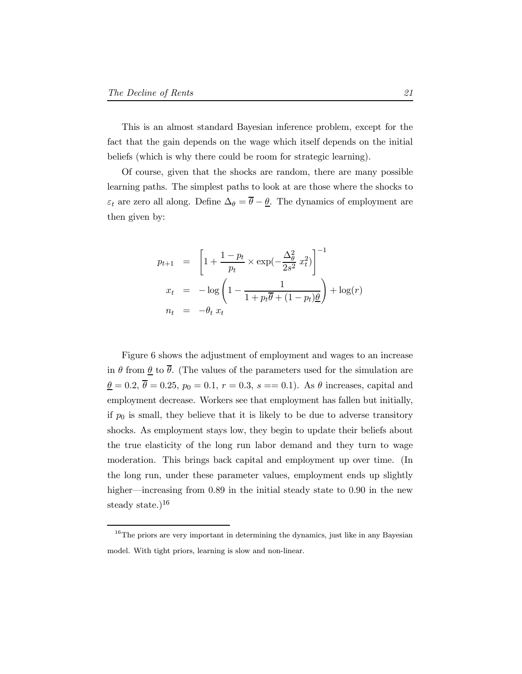This is an almost standard Bayesian inference problem, except for the fact that the gain depends on the wage which itself depends on the initial beliefs (which is why there could be room for strategic learning).

Of course, given that the shocks are random, there are many possible learning paths. The simplest paths to look at are those where the shocks to  $\varepsilon_t$  are zero all along. Define  $\Delta_\theta = \overline{\theta} - \underline{\theta}$ . The dynamics of employment are then given by:

$$
p_{t+1} = \left[1 + \frac{1 - p_t}{p_t} \times \exp\left(-\frac{\Delta_{\theta}^2}{2s^2} x_t^2\right)\right]^{-1}
$$
  

$$
x_t = -\log\left(1 - \frac{1}{1 + p_t \overline{\theta} + (1 - p_t)\underline{\theta}}\right) + \log(r)
$$
  

$$
n_t = -\theta_t x_t
$$

Figure 6 shows the adjustment of employment and wages to an increase in  $\theta$  from  $\underline{\theta}$  to  $\overline{\theta}$ . (The values of the parameters used for the simulation are  $\theta = 0.2, \overline{\theta} = 0.25, p_0 = 0.1, r = 0.3, s = 0.1$ . As  $\theta$  increases, capital and employment decrease. Workers see that employment has fallen but initially, if  $p_0$  is small, they believe that it is likely to be due to adverse transitory shocks. As employment stays low, they begin to update their beliefs about the true elasticity of the long run labor demand and they turn to wage moderation. This brings back capital and employment up over time. (In the long run, under these parameter values, employment ends up slightly higher—increasing from  $0.89$  in the initial steady state to  $0.90$  in the new steady state.) $16$ 

 $16$ The priors are very important in determining the dynamics, just like in any Bayesian model. With tight priors, learning is slow and non-linear.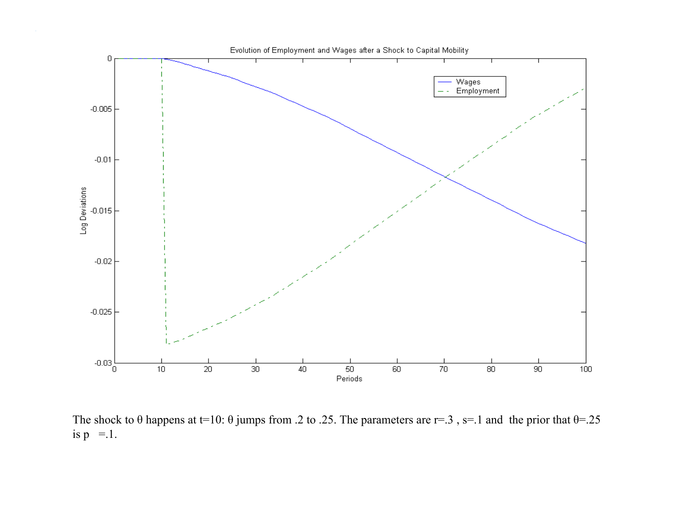

The shock to  $\theta$  happens at t=10:  $\theta$  jumps from .2 to .25. The parameters are r=.3, s=.1 and the prior that  $\theta$ =.25 is  $p = 1$ .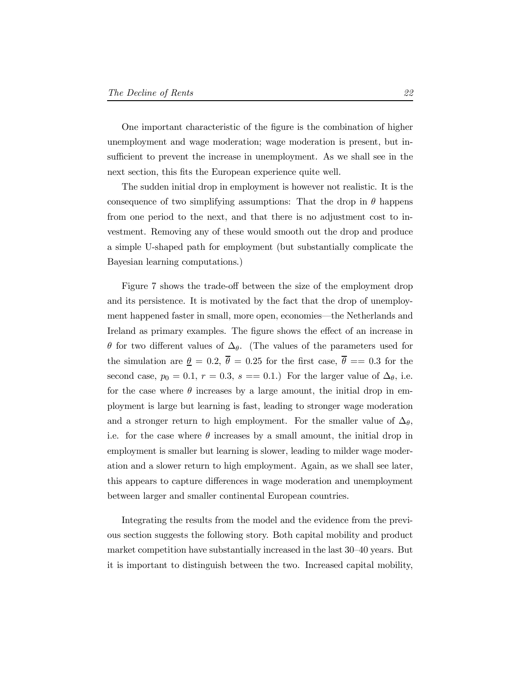One important characteristic of the figure is the combination of higher unemployment and wage moderation; wage moderation is present, but insufficient to prevent the increase in unemployment. As we shall see in the next section, this fits the European experience quite well.

The sudden initial drop in employment is however not realistic. It is the consequence of two simplifying assumptions: That the drop in  $\theta$  happens from one period to the next, and that there is no adjustment cost to investment. Removing any of these would smooth out the drop and produce a simple U-shaped path for employment (but substantially complicate the Bayesian learning computations.)

Figure 7 shows the trade-off between the size of the employment drop and its persistence. It is motivated by the fact that the drop of unemployment happened faster in small, more open, economies—the Netherlands and Ireland as primary examples. The figure shows the effect of an increase in  $\theta$  for two different values of  $\Delta_{\theta}$ . (The values of the parameters used for the simulation are  $\theta = 0.2$ ,  $\overline{\theta} = 0.25$  for the first case,  $\overline{\theta} = 0.3$  for the second case,  $p_0 = 0.1, r = 0.3, s == 0.1$ . For the larger value of  $\Delta_{\theta}$ , i.e. for the case where  $\theta$  increases by a large amount, the initial drop in employment is large but learning is fast, leading to stronger wage moderation and a stronger return to high employment. For the smaller value of  $\Delta_{\theta}$ , i.e. for the case where  $\theta$  increases by a small amount, the initial drop in employment is smaller but learning is slower, leading to milder wage moderation and a slower return to high employment. Again, as we shall see later, this appears to capture differences in wage moderation and unemployment between larger and smaller continental European countries.

Integrating the results from the model and the evidence from the previous section suggests the following story. Both capital mobility and product market competition have substantially increased in the last  $30-40$  years. But it is important to distinguish between the two. Increased capital mobility,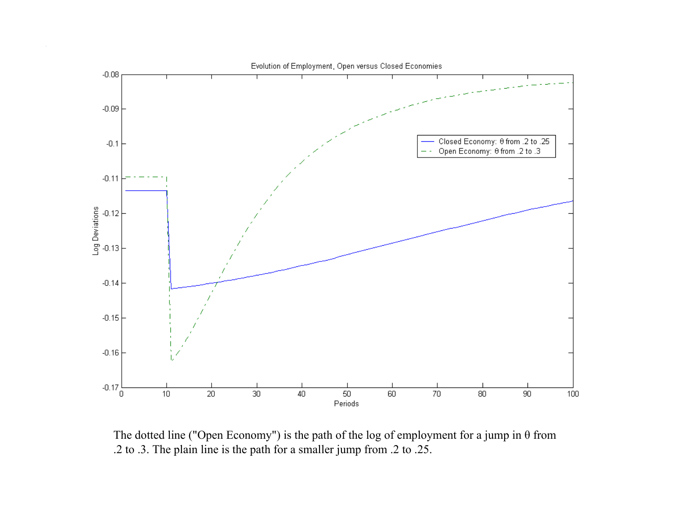

The dotted line ("Open Economy") is the path of the log of employment for a jump in θ from .2 to .3. The plain line is the path for a smaller jump from .2 to .25.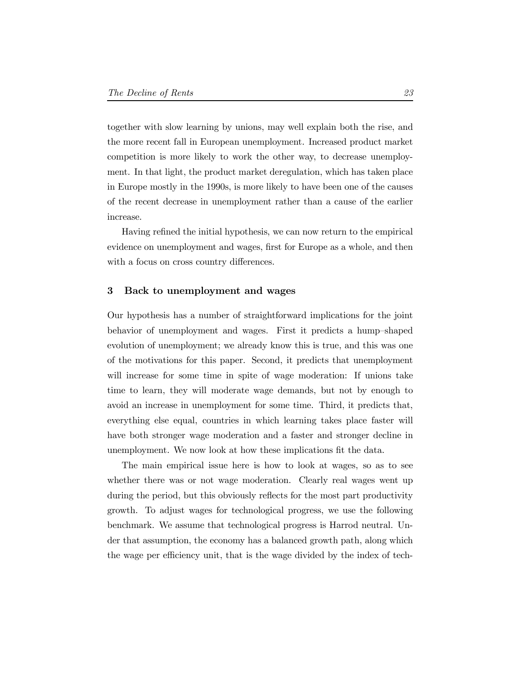together with slow learning by unions, may well explain both the rise, and the more recent fall in European unemployment. Increased product market competition is more likely to work the other way, to decrease unemployment. In that light, the product market deregulation, which has taken place in Europe mostly in the 1990s, is more likely to have been one of the causes of the recent decrease in unemployment rather than a cause of the earlier increase.

Having refined the initial hypothesis, we can now return to the empirical evidence on unemployment and wages, first for Europe as a whole, and then with a focus on cross country differences.

#### 3 Back to unemployment and wages

Our hypothesis has a number of straightforward implications for the joint behavior of unemployment and wages. First it predicts a hump-shaped evolution of unemployment; we already know this is true, and this was one of the motivations for this paper. Second, it predicts that unemployment will increase for some time in spite of wage moderation: If unions take time to learn, they will moderate wage demands, but not by enough to avoid an increase in unemployment for some time. Third, it predicts that, everything else equal, countries in which learning takes place faster will have both stronger wage moderation and a faster and stronger decline in unemployment. We now look at how these implications fit the data.

The main empirical issue here is how to look at wages, so as to see whether there was or not wage moderation. Clearly real wages went up during the period, but this obviously reflects for the most part productivity growth. To adjust wages for technological progress, we use the following benchmark. We assume that technological progress is Harrod neutral. Under that assumption, the economy has a balanced growth path, along which the wage per efficiency unit, that is the wage divided by the index of tech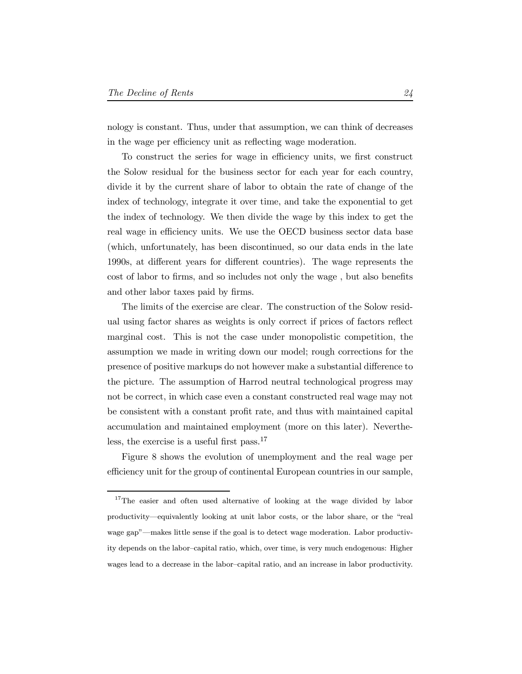nology is constant. Thus, under that assumption, we can think of decreases in the wage per efficiency unit as reflecting wage moderation.

To construct the series for wage in efficiency units, we first construct the Solow residual for the business sector for each year for each country, divide it by the current share of labor to obtain the rate of change of the index of technology, integrate it over time, and take the exponential to get the index of technology. We then divide the wage by this index to get the real wage in efficiency units. We use the OECD business sector data base (which, unfortunately, has been discontinued, so our data ends in the late 1990s, at different years for different countries). The wage represents the cost of labor to firms, and so includes not only the wage, but also benefits and other labor taxes paid by firms.

The limits of the exercise are clear. The construction of the Solow residual using factor shares as weights is only correct if prices of factors reflect marginal cost. This is not the case under monopolistic competition, the assumption we made in writing down our model; rough corrections for the presence of positive markups do not however make a substantial difference to the picture. The assumption of Harrod neutral technological progress may not be correct, in which case even a constant constructed real wage may not be consistent with a constant profit rate, and thus with maintained capital accumulation and maintained employment (more on this later). Nevertheless, the exercise is a useful first pass.<sup>17</sup>

Figure 8 shows the evolution of unemployment and the real wage per efficiency unit for the group of continental European countries in our sample,

<sup>&</sup>lt;sup>17</sup>The easier and often used alternative of looking at the wage divided by labor productivity—equivalently looking at unit labor costs, or the labor share, or the "real wage gap"—makes little sense if the goal is to detect wage moderation. Labor productivity depends on the labor-capital ratio, which, over time, is very much endogenous: Higher wages lead to a decrease in the labor-capital ratio, and an increase in labor productivity.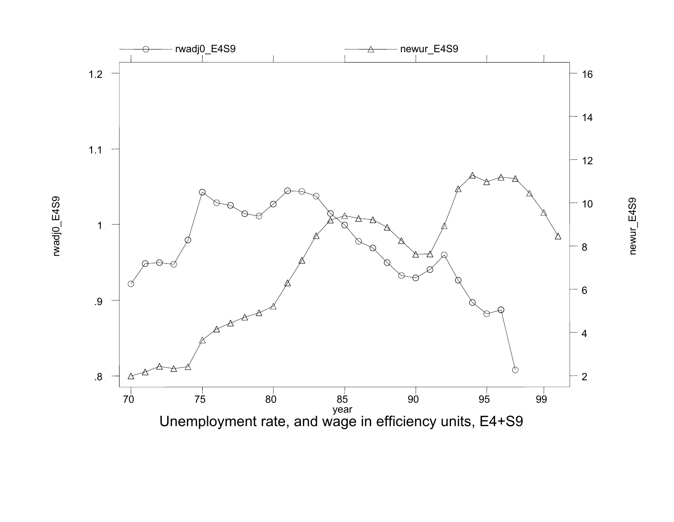

rwadj0\_E4S9 rwadj0\_E4S9

newur\_E4S9 newur\_E4S9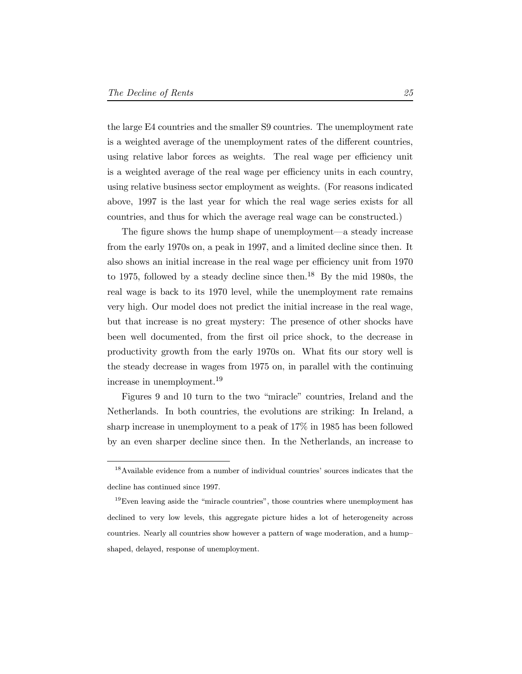the large E4 countries and the smaller S9 countries. The unemployment rate is a weighted average of the unemployment rates of the different countries, using relative labor forces as weights. The real wage per efficiency unit is a weighted average of the real wage per efficiency units in each country, using relative business sector employment as weights. (For reasons indicated above, 1997 is the last year for which the real wage series exists for all countries, and thus for which the average real wage can be constructed.)

The figure shows the hump shape of unemployment—a steady increase from the early 1970s on, a peak in 1997, and a limited decline since then. It also shows an initial increase in the real wage per efficiency unit from 1970 to 1975, followed by a steady decline since then.<sup>18</sup> By the mid 1980s, the real wage is back to its 1970 level, while the unemployment rate remains very high. Our model does not predict the initial increase in the real wage, but that increase is no great mystery: The presence of other shocks have been well documented, from the first oil price shock, to the decrease in productivity growth from the early 1970s on. What fits our story well is the steady decrease in wages from 1975 on, in parallel with the continuing increase in unemployment.<sup>19</sup>

Figures 9 and 10 turn to the two \miracle" countries, Ireland and the Netherlands. In both countries, the evolutions are striking: In Ireland, a sharp increase in unemployment to a peak of 17% in 1985 has been followed by an even sharper decline since then. In the Netherlands, an increase to

<sup>18</sup>Available evidence from a number of individual countries' sources indicates that the decline has continued since 1997.

 $19$ Even leaving aside the "miracle countries", those countries where unemployment has declined to very low levels, this aggregate picture hides a lot of heterogeneity across countries. Nearly all countries show however a pattern of wage moderation, and a hump{ shaped, delayed, response of unemployment.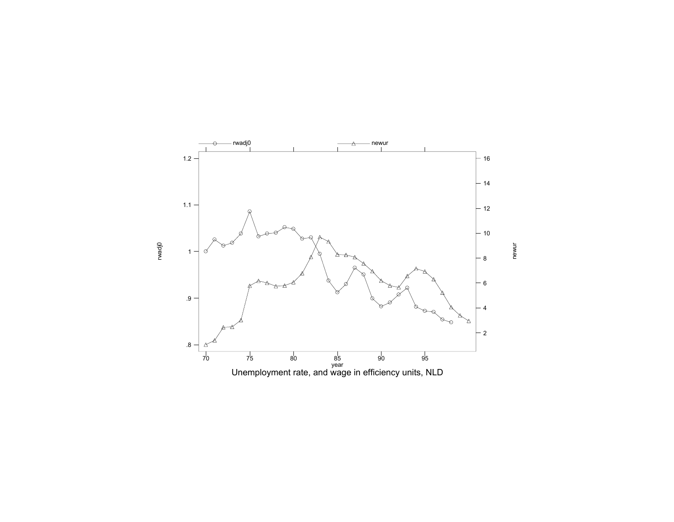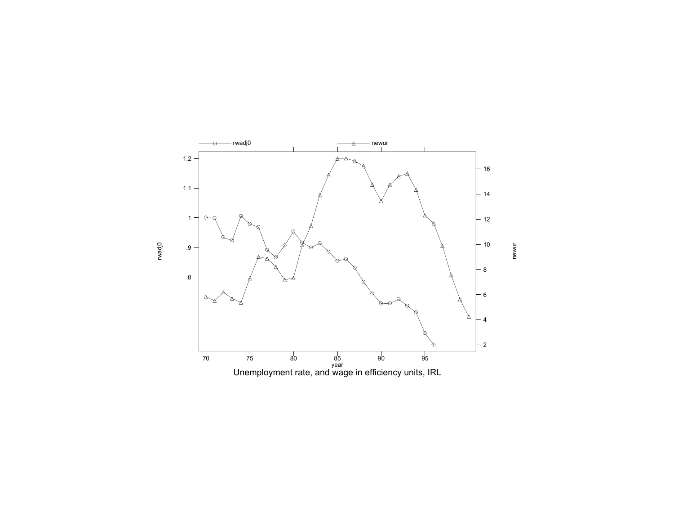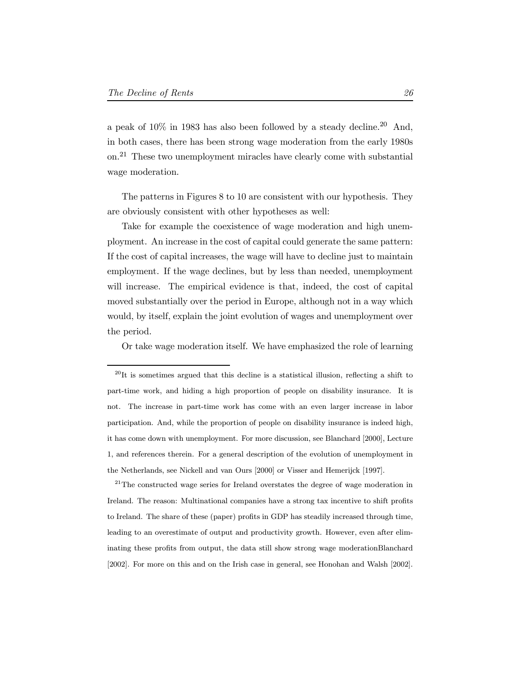a peak of  $10\%$  in 1983 has also been followed by a steady decline.<sup>20</sup> And, in both cases, there has been strong wage moderation from the early 1980s on.<sup>21</sup> These two unemployment miracles have clearly come with substantial wage moderation.

The patterns in Figures 8 to 10 are consistent with our hypothesis. They are obviously consistent with other hypotheses as well:

Take for example the coexistence of wage moderation and high unemployment. An increase in the cost of capital could generate the same pattern: If the cost of capital increases, the wage will have to decline just to maintain employment. If the wage declines, but by less than needed, unemployment will increase. The empirical evidence is that, indeed, the cost of capital moved substantially over the period in Europe, although not in a way which would, by itself, explain the joint evolution of wages and unemployment over the period.

Or take wage moderation itself. We have emphasized the role of learning

<sup>21</sup>The constructed wage series for Ireland overstates the degree of wage moderation in Ireland. The reason: Multinational companies have a strong tax incentive to shift profits to Ireland. The share of these (paper) profits in GDP has steadily increased through time, leading to an overestimate of output and productivity growth. However, even after eliminating these profits from output, the data still show strong wage moderationBlanchard [2002]. For more on this and on the Irish case in general, see Honohan and Walsh [2002].

 $^{20}$ It is sometimes argued that this decline is a statistical illusion, reflecting a shift to part-time work, and hiding a high proportion of people on disability insurance. It is not. The increase in part-time work has come with an even larger increase in labor participation. And, while the proportion of people on disability insurance is indeed high, it has come down with unemployment. For more discussion, see Blanchard [2000], Lecture 1, and references therein. For a general description of the evolution of unemployment in the Netherlands, see Nickell and van Ours [2000] or Visser and Hemerijck [1997].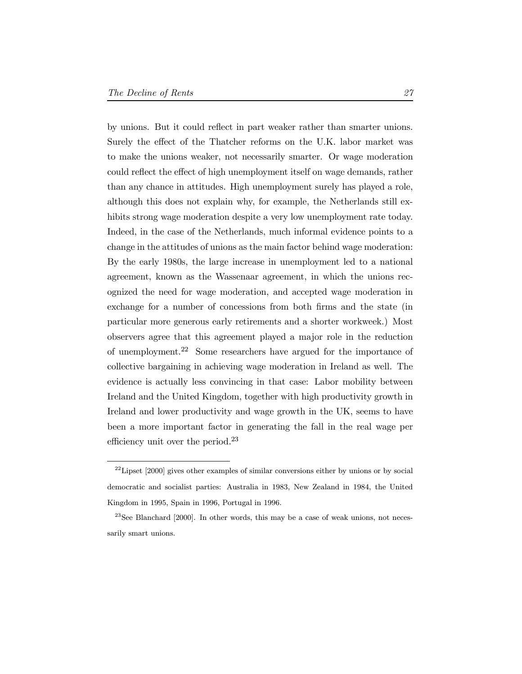by unions. But it could reflect in part weaker rather than smarter unions. Surely the effect of the Thatcher reforms on the U.K. labor market was to make the unions weaker, not necessarily smarter. Or wage moderation could reflect the effect of high unemployment itself on wage demands, rather than any chance in attitudes. High unemployment surely has played a role, although this does not explain why, for example, the Netherlands still exhibits strong wage moderation despite a very low unemployment rate today. Indeed, in the case of the Netherlands, much informal evidence points to a change in the attitudes of unions as the main factor behind wage moderation: By the early 1980s, the large increase in unemployment led to a national agreement, known as the Wassenaar agreement, in which the unions recognized the need for wage moderation, and accepted wage moderation in exchange for a number of concessions from both firms and the state (in particular more generous early retirements and a shorter workweek.) Most observers agree that this agreement played a major role in the reduction of unemployment.<sup>22</sup> Some researchers have argued for the importance of collective bargaining in achieving wage moderation in Ireland as well. The evidence is actually less convincing in that case: Labor mobility between Ireland and the United Kingdom, together with high productivity growth in Ireland and lower productivity and wage growth in the UK, seems to have been a more important factor in generating the fall in the real wage per efficiency unit over the period. $^{23}$ 

<sup>&</sup>lt;sup>22</sup>Lipset [2000] gives other examples of similar conversions either by unions or by social democratic and socialist parties: Australia in 1983, New Zealand in 1984, the United Kingdom in 1995, Spain in 1996, Portugal in 1996.

 $23$ See Blanchard [2000]. In other words, this may be a case of weak unions, not necessarily smart unions.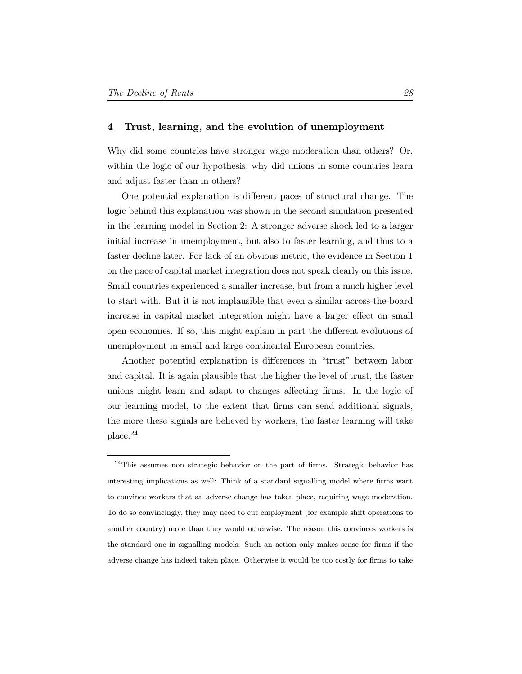## 4 Trust, learning, and the evolution of unemployment

Why did some countries have stronger wage moderation than others? Or, within the logic of our hypothesis, why did unions in some countries learn and adjust faster than in others?

One potential explanation is different paces of structural change. The logic behind this explanation was shown in the second simulation presented in the learning model in Section 2: A stronger adverse shock led to a larger initial increase in unemployment, but also to faster learning, and thus to a faster decline later. For lack of an obvious metric, the evidence in Section 1 on the pace of capital market integration does not speak clearly on this issue. Small countries experienced a smaller increase, but from a much higher level to start with. But it is not implausible that even a similar across-the-board increase in capital market integration might have a larger effect on small open economies. If so, this might explain in part the different evolutions of unemployment in small and large continental European countries.

Another potential explanation is differences in "trust" between labor and capital. It is again plausible that the higher the level of trust, the faster unions might learn and adapt to changes affecting firms. In the logic of our learning model, to the extent that firms can send additional signals, the more these signals are believed by workers, the faster learning will take place.<sup>24</sup>

 $^{24}$ This assumes non strategic behavior on the part of firms. Strategic behavior has interesting implications as well: Think of a standard signalling model where firms want to convince workers that an adverse change has taken place, requiring wage moderation. To do so convincingly, they may need to cut employment (for example shift operations to another country) more than they would otherwise. The reason this convinces workers is the standard one in signalling models: Such an action only makes sense for firms if the adverse change has indeed taken place. Otherwise it would be too costly for firms to take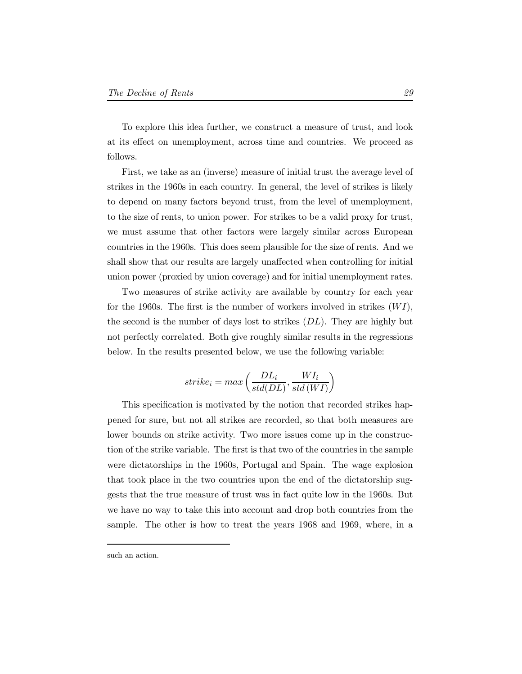To explore this idea further, we construct a measure of trust, and look at its effect on unemployment, across time and countries. We proceed as follows.

First, we take as an (inverse) measure of initial trust the average level of strikes in the 1960s in each country. In general, the level of strikes is likely to depend on many factors beyond trust, from the level of unemployment, to the size of rents, to union power. For strikes to be a valid proxy for trust, we must assume that other factors were largely similar across European countries in the 1960s. This does seem plausible for the size of rents. And we shall show that our results are largely unaffected when controlling for initial union power (proxied by union coverage) and for initial unemployment rates.

Two measures of strike activity are available by country for each year for the 1960s. The first is the number of workers involved in strikes  $(WI)$ , the second is the number of days lost to strikes  $(DL)$ . They are highly but not perfectly correlated. Both give roughly similar results in the regressions below. In the results presented below, we use the following variable:

$$
strike_i = max\left(\frac{DL_i}{std(DL)}, \frac{WI_i}{std(WI)}\right)
$$

This specification is motivated by the notion that recorded strikes happened for sure, but not all strikes are recorded, so that both measures are lower bounds on strike activity. Two more issues come up in the construction of the strike variable. The first is that two of the countries in the sample were dictatorships in the 1960s, Portugal and Spain. The wage explosion that took place in the two countries upon the end of the dictatorship suggests that the true measure of trust was in fact quite low in the 1960s. But we have no way to take this into account and drop both countries from the sample. The other is how to treat the years 1968 and 1969, where, in a

such an action.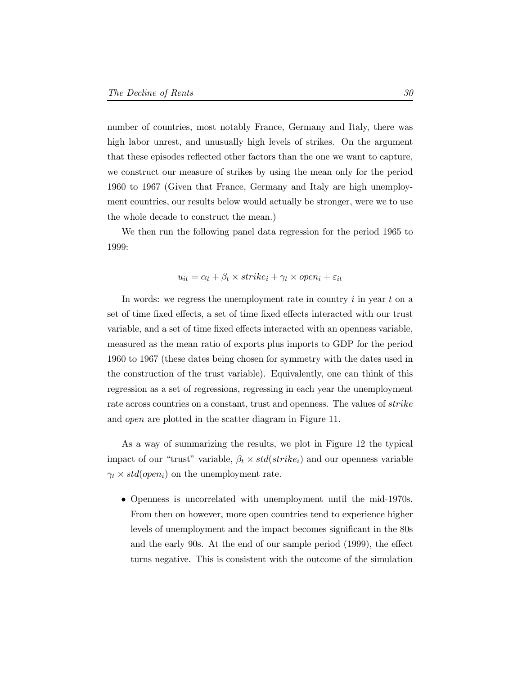number of countries, most notably France, Germany and Italy, there was high labor unrest, and unusually high levels of strikes. On the argument that these episodes reflected other factors than the one we want to capture, we construct our measure of strikes by using the mean only for the period 1960 to 1967 (Given that France, Germany and Italy are high unemployment countries, our results below would actually be stronger, were we to use the whole decade to construct the mean.)

We then run the following panel data regression for the period 1965 to 1999:

$$
u_{it} = \alpha_t + \beta_t \times strike_i + \gamma_t \times open_i + \varepsilon_{it}
$$

In words: we regress the unemployment rate in country  $i$  in year  $t$  on a set of time fixed effects, a set of time fixed effects interacted with our trust variable, and a set of time fixed effects interacted with an openness variable, measured as the mean ratio of exports plus imports to GDP for the period 1960 to 1967 (these dates being chosen for symmetry with the dates used in the construction of the trust variable). Equivalently, one can think of this regression as a set of regressions, regressing in each year the unemployment rate across countries on a constant, trust and openness. The values of  $\overline{strike}$ and *open* are plotted in the scatter diagram in Figure 11.

As a way of summarizing the results, we plot in Figure 12 the typical impact of our "trust" variable,  $\beta_t \times std(strike_i)$  and our openness variable  $\gamma_t \times std(open_i)$  on the unemployment rate.

• Openness is uncorrelated with unemployment until the mid-1970s. From then on however, more open countries tend to experience higher levels of unemployment and the impact becomes significant in the  $80s$ and the early 90s. At the end of our sample period (1999), the effect turns negative. This is consistent with the outcome of the simulation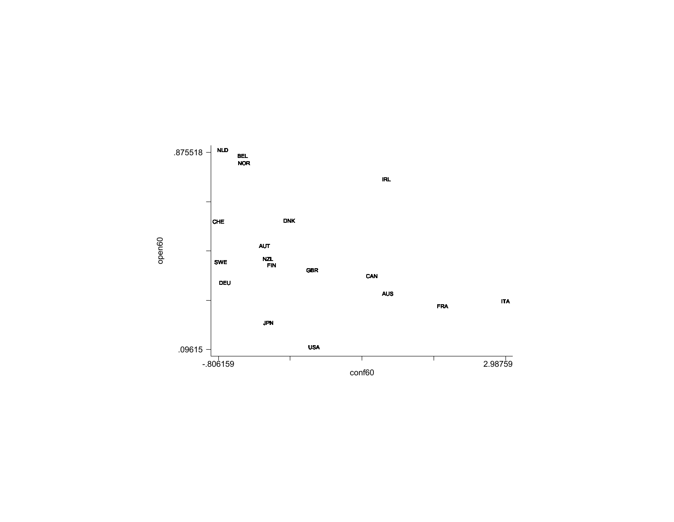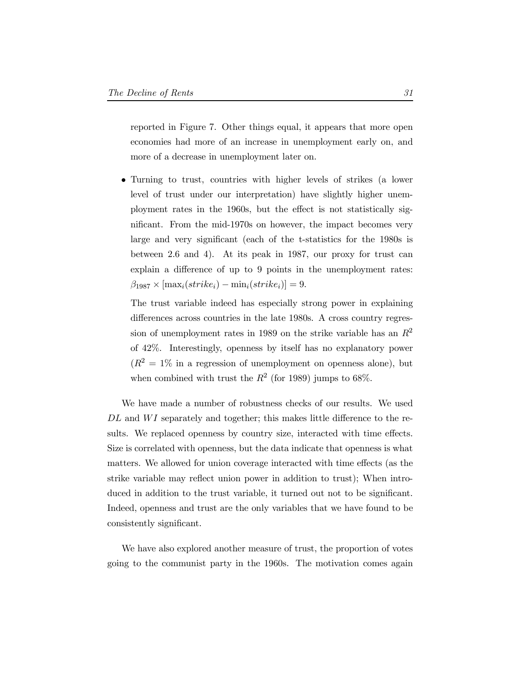reported in Figure 7. Other things equal, it appears that more open economies had more of an increase in unemployment early on, and more of a decrease in unemployment later on.

• Turning to trust, countries with higher levels of strikes (a lower level of trust under our interpretation) have slightly higher unemployment rates in the 1960s, but the effect is not statistically significant. From the mid-1970s on however, the impact becomes very large and very significant (each of the t-statistics for the 1980s is between 2.6 and 4). At its peak in 1987, our proxy for trust can explain a difference of up to 9 points in the unemployment rates:  $\beta_{1987} \times [\text{max}_i(strike_i) - \text{min}_i(strike_i)] = 9.$ 

The trust variable indeed has especially strong power in explaining differences across countries in the late 1980s. A cross country regression of unemployment rates in 1989 on the strike variable has an  $R^2$ of 42%. Interestingly, openness by itself has no explanatory power  $(R^2 = 1\%$  in a regression of unemployment on openness alone), but when combined with trust the  $R^2$  (for 1989) jumps to 68%.

We have made a number of robustness checks of our results. We used  $DL$  and  $WI$  separately and together; this makes little difference to the results. We replaced openness by country size, interacted with time effects. Size is correlated with openness, but the data indicate that openness is what matters. We allowed for union coverage interacted with time effects (as the strike variable may reflect union power in addition to trust); When introduced in addition to the trust variable, it turned out not to be significant. Indeed, openness and trust are the only variables that we have found to be consistently significant.

We have also explored another measure of trust, the proportion of votes going to the communist party in the 1960s. The motivation comes again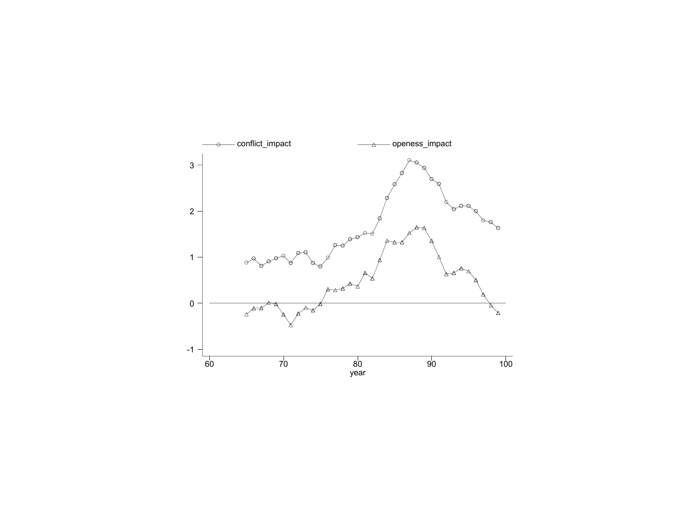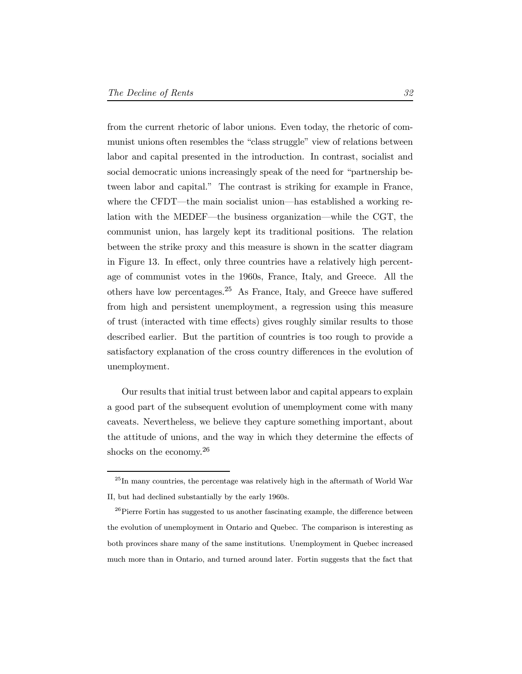from the current rhetoric of labor unions. Even today, the rhetoric of communist unions often resembles the "class struggle" view of relations between labor and capital presented in the introduction. In contrast, socialist and social democratic unions increasingly speak of the need for "partnership between labor and capital." The contrast is striking for example in France, where the CFDT—the main socialist union—has established a working relation with the MEDEF—the business organization—while the CGT, the communist union, has largely kept its traditional positions. The relation between the strike proxy and this measure is shown in the scatter diagram in Figure 13. In effect, only three countries have a relatively high percentage of communist votes in the 1960s, France, Italy, and Greece. All the others have low percentages.<sup>25</sup> As France, Italy, and Greece have suffered from high and persistent unemployment, a regression using this measure of trust (interacted with time effects) gives roughly similar results to those described earlier. But the partition of countries is too rough to provide a satisfactory explanation of the cross country differences in the evolution of unemployment.

Our results that initial trust between labor and capital appears to explain a good part of the subsequent evolution of unemployment come with many caveats. Nevertheless, we believe they capture something important, about the attitude of unions, and the way in which they determine the effects of shocks on the economy.<sup>26</sup>

 $^{25}{\rm In}$  many countries, the percentage was relatively high in the aftermath of World War II, but had declined substantially by the early 1960s.

 $^{26}\rm{Pierre}$  Fortin has suggested to us another fascinating example, the difference between the evolution of unemployment in Ontario and Quebec. The comparison is interesting as both provinces share many of the same institutions. Unemployment in Quebec increased much more than in Ontario, and turned around later. Fortin suggests that the fact that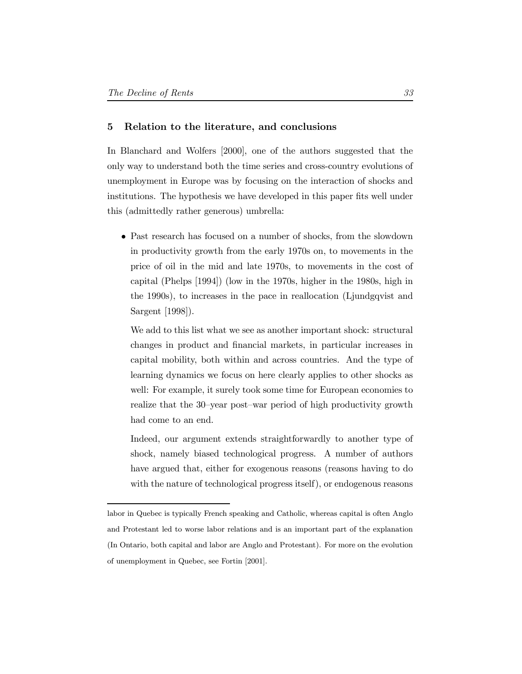#### 5 Relation to the literature, and conclusions

In Blanchard and Wolfers [2000], one of the authors suggested that the only way to understand both the time series and cross-country evolutions of unemployment in Europe was by focusing on the interaction of shocks and institutions. The hypothesis we have developed in this paper fits well under this (admittedly rather generous) umbrella:

• Past research has focused on a number of shocks, from the slowdown in productivity growth from the early 1970s on, to movements in the price of oil in the mid and late 1970s, to movements in the cost of capital (Phelps [1994]) (low in the 1970s, higher in the 1980s, high in the 1990s), to increases in the pace in reallocation (Ljundgqvist and Sargent [1998]).

We add to this list what we see as another important shock: structural changes in product and financial markets, in particular increases in capital mobility, both within and across countries. And the type of learning dynamics we focus on here clearly applies to other shocks as well: For example, it surely took some time for European economies to realize that the 30-year post-war period of high productivity growth had come to an end.

Indeed, our argument extends straightforwardly to another type of shock, namely biased technological progress. A number of authors have argued that, either for exogenous reasons (reasons having to do with the nature of technological progress itself), or endogenous reasons

labor in Quebec is typically French speaking and Catholic, whereas capital is often Anglo and Protestant led to worse labor relations and is an important part of the explanation (In Ontario, both capital and labor are Anglo and Protestant). For more on the evolution of unemployment in Quebec, see Fortin [2001].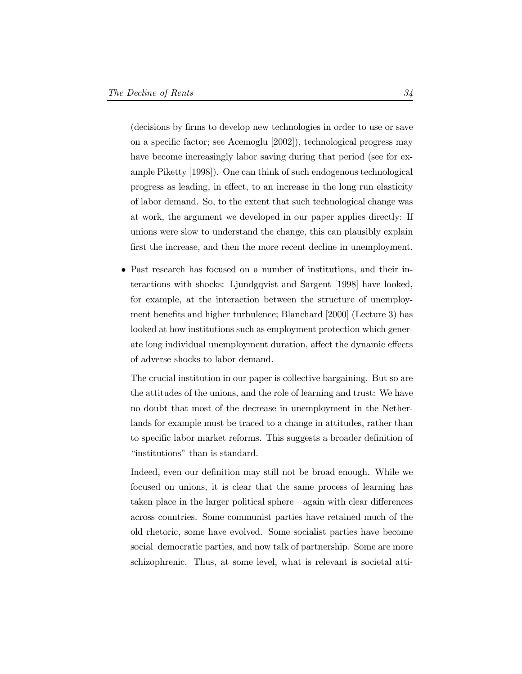(decisions by firms to develop new technologies in order to use or save on a specific factor; see Acemoglu  $[2002]$ , technological progress may have become increasingly labor saving during that period (see for example Piketty [1998]). One can think of such endogenous technological progress as leading, in effect, to an increase in the long run elasticity of labor demand. So, to the extent that such technological change was at work, the argument we developed in our paper applies directly: If unions were slow to understand the change, this can plausibly explain first the increase, and then the more recent decline in unemployment.

• Past research has focused on a number of institutions, and their interactions with shocks: Ljundgqvist and Sargent [1998] have looked, for example, at the interaction between the structure of unemployment benefits and higher turbulence; Blanchard [2000] (Lecture 3) has looked at how institutions such as employment protection which generate long individual unemployment duration, affect the dynamic effects of adverse shocks to labor demand.

The crucial institution in our paper is collective bargaining. But so are the attitudes of the unions, and the role of learning and trust: We have no doubt that most of the decrease in unemployment in the Netherlands for example must be traced to a change in attitudes, rather than to specific labor market reforms. This suggests a broader definition of "institutions" than is standard.

Indeed, even our definition may still not be broad enough. While we focused on unions, it is clear that the same process of learning has taken place in the larger political sphere—again with clear differences across countries. Some communist parties have retained much of the old rhetoric, some have evolved. Some socialist parties have become social-democratic parties, and now talk of partnership. Some are more schizophrenic. Thus, at some level, what is relevant is societal atti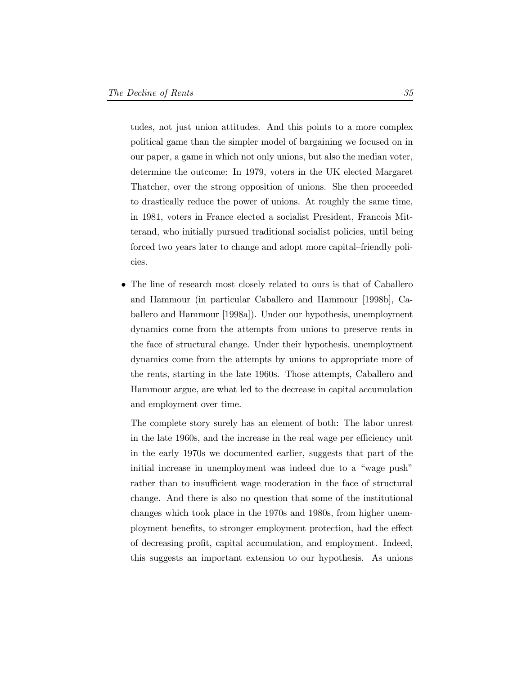tudes, not just union attitudes. And this points to a more complex political game than the simpler model of bargaining we focused on in our paper, a game in which not only unions, but also the median voter, determine the outcome: In 1979, voters in the UK elected Margaret Thatcher, over the strong opposition of unions. She then proceeded to drastically reduce the power of unions. At roughly the same time, in 1981, voters in France elected a socialist President, Francois Mitterand, who initially pursued traditional socialist policies, until being forced two years later to change and adopt more capital-friendly policies.

• The line of research most closely related to ours is that of Caballero and Hammour (in particular Caballero and Hammour [1998b], Caballero and Hammour [1998a]). Under our hypothesis, unemployment dynamics come from the attempts from unions to preserve rents in the face of structural change. Under their hypothesis, unemployment dynamics come from the attempts by unions to appropriate more of the rents, starting in the late 1960s. Those attempts, Caballero and Hammour argue, are what led to the decrease in capital accumulation and employment over time.

The complete story surely has an element of both: The labor unrest in the late 1960s, and the increase in the real wage per efficiency unit in the early 1970s we documented earlier, suggests that part of the initial increase in unemployment was indeed due to a "wage push" rather than to insufficient wage moderation in the face of structural change. And there is also no question that some of the institutional changes which took place in the 1970s and 1980s, from higher unemployment benefits, to stronger employment protection, had the effect of decreasing profit, capital accumulation, and employment. Indeed, this suggests an important extension to our hypothesis. As unions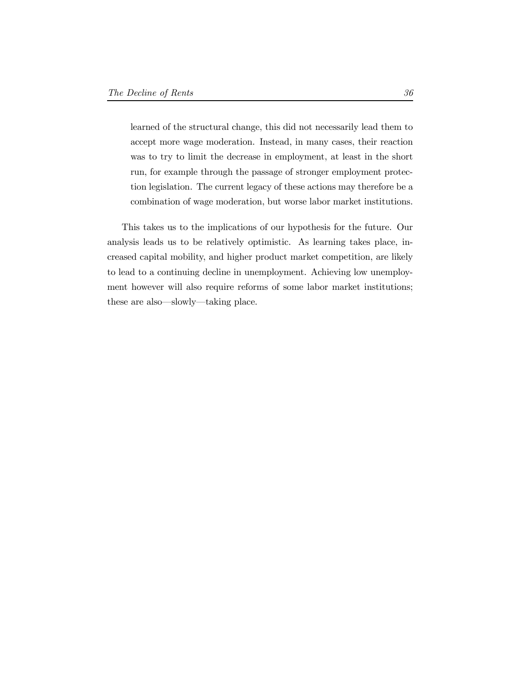learned of the structural change, this did not necessarily lead them to accept more wage moderation. Instead, in many cases, their reaction was to try to limit the decrease in employment, at least in the short run, for example through the passage of stronger employment protection legislation. The current legacy of these actions may therefore be a combination of wage moderation, but worse labor market institutions.

This takes us to the implications of our hypothesis for the future. Our analysis leads us to be relatively optimistic. As learning takes place, increased capital mobility, and higher product market competition, are likely to lead to a continuing decline in unemployment. Achieving low unemployment however will also require reforms of some labor market institutions; these are also—slowly—taking place.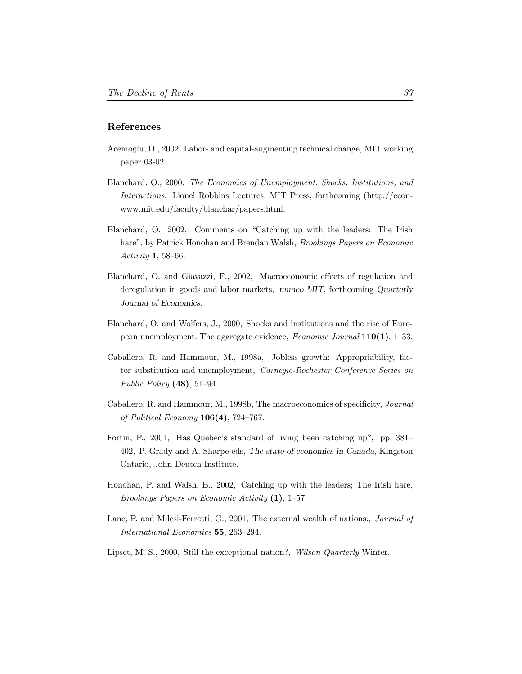## References

- Acemoglu, D., 2002, Labor- and capital-augmenting technical change, MIT working paper 03-02.
- Blanchard, O., 2000, The Economics of Unemployment. Shocks, Institutions, and Interactions, Lionel Robbins Lectures, MIT Press, forthcoming (http://econwww.mit.edu/faculty/blanchar/papers.html.
- Blanchard, O., 2002, Comments on \Catching up with the leaders: The Irish hare", by Patrick Honohan and Brendan Walsh, Brookings Papers on Economic Activity 1, 58-66.
- Blanchard, O. and Giavazzi, F., 2002, Macroeconomic effects of regulation and deregulation in goods and labor markets, mimeo MIT, forthcoming Quarterly Journal of Economics.
- Blanchard, O. and Wolfers, J., 2000, Shocks and institutions and the rise of European unemployment. The aggregate evidence, *Economic Journal*  $110(1)$ , 1-33.
- Caballero, R. and Hammour, M., 1998a, Jobless growth: Appropriability, factor substitution and unemployment, Carnegie-Rochester Conference Series on Public Policy  $(48)$ , 51-94.
- Caballero, R. and Hammour, M., 1998b, The macroeconomics of specificity, *Journal* of Political Economy  $106(4)$ , 724-767.
- Fortin, P., 2001, Has Quebec's standard of living been catching up?, pp. 381-402, P. Grady and A. Sharpe eds, The state of economics in Canada, Kingston Ontario, John Deutch Institute.
- Honohan, P. and Walsh, B., 2002, Catching up with the leaders; The Irish hare, Brookings Papers on Economic Activity  $(1)$ , 1-57.
- Lane, P. and Milesi-Ferretti, G., 2001, The external wealth of nations., *Journal of* International Economics 55, 263-294.
- Lipset, M. S., 2000, Still the exceptional nation?, Wilson Quarterly Winter.